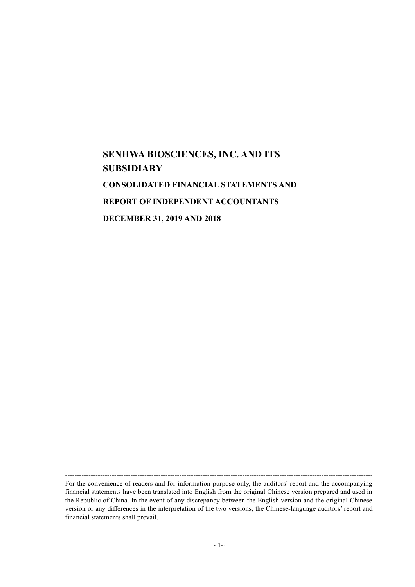# **SENHWA BIOSCIENCES, INC. AND ITS SUBSIDIARY CONSOLIDATED FINANCIAL STATEMENTS AND REPORT OF INDEPENDENT ACCOUNTANTS DECEMBER 31, 2019 AND 2018**

------------------------------------------------------------------------------------------------------------------------------------

For the convenience of readers and for information purpose only, the auditors' report and the accompanying financial statements have been translated into English from the original Chinese version prepared and used in the Republic of China. In the event of any discrepancy between the English version and the original Chinese version or any differences in the interpretation of the two versions, the Chinese-language auditors' report and financial statements shall prevail.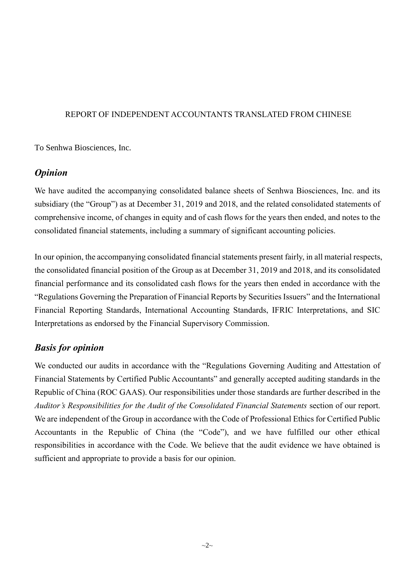#### REPORT OF INDEPENDENT ACCOUNTANTS TRANSLATED FROM CHINESE

To Senhwa Biosciences, Inc.

## *Opinion*

We have audited the accompanying consolidated balance sheets of Senhwa Biosciences, Inc. and its subsidiary (the "Group") as at December 31, 2019 and 2018, and the related consolidated statements of comprehensive income, of changes in equity and of cash flows for the years then ended, and notes to the consolidated financial statements, including a summary of significant accounting policies.

In our opinion, the accompanying consolidated financial statements present fairly, in all material respects, the consolidated financial position of the Group as at December 31, 2019 and 2018, and its consolidated financial performance and its consolidated cash flows for the years then ended in accordance with the "Regulations Governing the Preparation of Financial Reports by Securities Issuers" and the International Financial Reporting Standards, International Accounting Standards, IFRIC Interpretations, and SIC Interpretations as endorsed by the Financial Supervisory Commission.

## *Basis for opinion*

We conducted our audits in accordance with the "Regulations Governing Auditing and Attestation of Financial Statements by Certified Public Accountants" and generally accepted auditing standards in the Republic of China (ROC GAAS). Our responsibilities under those standards are further described in the *Auditor's Responsibilities for the Audit of the Consolidated Financial Statements* section of our report. We are independent of the Group in accordance with the Code of Professional Ethics for Certified Public Accountants in the Republic of China (the "Code"), and we have fulfilled our other ethical responsibilities in accordance with the Code. We believe that the audit evidence we have obtained is sufficient and appropriate to provide a basis for our opinion.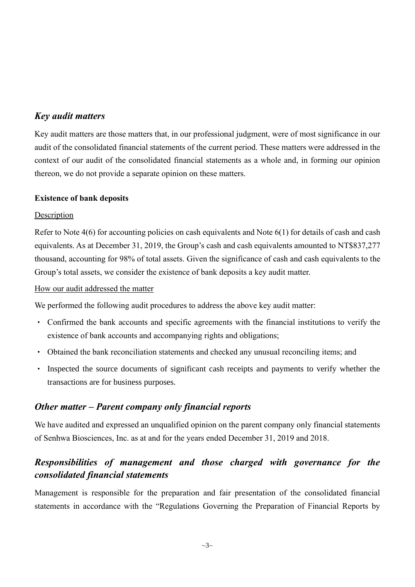### *Key audit matters*

Key audit matters are those matters that, in our professional judgment, were of most significance in our audit of the consolidated financial statements of the current period. These matters were addressed in the context of our audit of the consolidated financial statements as a whole and, in forming our opinion thereon, we do not provide a separate opinion on these matters.

### **Existence of bank deposits**

#### Description

Refer to Note 4(6) for accounting policies on cash equivalents and Note 6(1) for details of cash and cash equivalents. As at December 31, 2019, the Group's cash and cash equivalents amounted to NT\$837,277 thousand, accounting for 98% of total assets. Given the significance of cash and cash equivalents to the Group's total assets, we consider the existence of bank deposits a key audit matter.

#### How our audit addressed the matter

We performed the following audit procedures to address the above key audit matter:

- ‧ Confirmed the bank accounts and specific agreements with the financial institutions to verify the existence of bank accounts and accompanying rights and obligations;
- ‧ Obtained the bank reconciliation statements and checked any unusual reconciling items; and
- ‧ Inspected the source documents of significant cash receipts and payments to verify whether the transactions are for business purposes.

## *Other matter – Parent company only financial reports*

We have audited and expressed an unqualified opinion on the parent company only financial statements of Senhwa Biosciences, Inc. as at and for the years ended December 31, 2019 and 2018.

## *Responsibilities of management and those charged with governance for the consolidated financial statements*

Management is responsible for the preparation and fair presentation of the consolidated financial statements in accordance with the "Regulations Governing the Preparation of Financial Reports by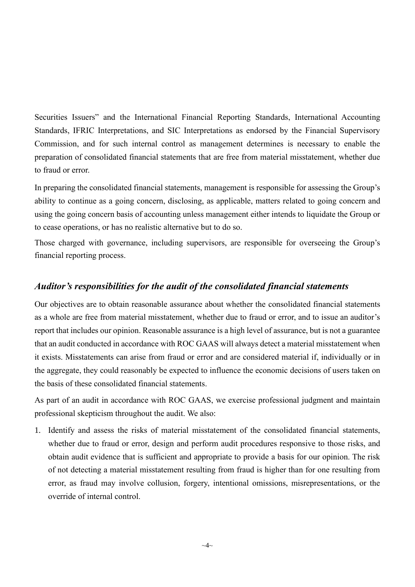Securities Issuers" and the International Financial Reporting Standards, International Accounting Standards, IFRIC Interpretations, and SIC Interpretations as endorsed by the Financial Supervisory Commission, and for such internal control as management determines is necessary to enable the preparation of consolidated financial statements that are free from material misstatement, whether due to fraud or error.

In preparing the consolidated financial statements, management is responsible for assessing the Group's ability to continue as a going concern, disclosing, as applicable, matters related to going concern and using the going concern basis of accounting unless management either intends to liquidate the Group or to cease operations, or has no realistic alternative but to do so.

Those charged with governance, including supervisors, are responsible for overseeing the Group's financial reporting process.

### *Auditor's responsibilities for the audit of the consolidated financial statements*

Our objectives are to obtain reasonable assurance about whether the consolidated financial statements as a whole are free from material misstatement, whether due to fraud or error, and to issue an auditor's report that includes our opinion. Reasonable assurance is a high level of assurance, but is not a guarantee that an audit conducted in accordance with ROC GAAS will always detect a material misstatement when it exists. Misstatements can arise from fraud or error and are considered material if, individually or in the aggregate, they could reasonably be expected to influence the economic decisions of users taken on the basis of these consolidated financial statements.

As part of an audit in accordance with ROC GAAS, we exercise professional judgment and maintain professional skepticism throughout the audit. We also:

1. Identify and assess the risks of material misstatement of the consolidated financial statements, whether due to fraud or error, design and perform audit procedures responsive to those risks, and obtain audit evidence that is sufficient and appropriate to provide a basis for our opinion. The risk of not detecting a material misstatement resulting from fraud is higher than for one resulting from error, as fraud may involve collusion, forgery, intentional omissions, misrepresentations, or the override of internal control.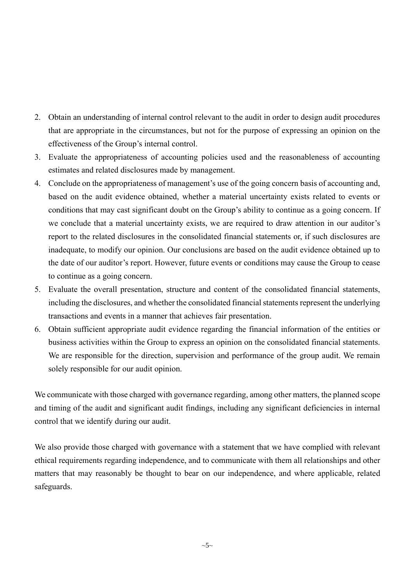- 2. Obtain an understanding of internal control relevant to the audit in order to design audit procedures that are appropriate in the circumstances, but not for the purpose of expressing an opinion on the effectiveness of the Group's internal control.
- 3. Evaluate the appropriateness of accounting policies used and the reasonableness of accounting estimates and related disclosures made by management.
- 4. Conclude on the appropriateness of management's use of the going concern basis of accounting and, based on the audit evidence obtained, whether a material uncertainty exists related to events or conditions that may cast significant doubt on the Group's ability to continue as a going concern. If we conclude that a material uncertainty exists, we are required to draw attention in our auditor's report to the related disclosures in the consolidated financial statements or, if such disclosures are inadequate, to modify our opinion. Our conclusions are based on the audit evidence obtained up to the date of our auditor's report. However, future events or conditions may cause the Group to cease to continue as a going concern.
- 5. Evaluate the overall presentation, structure and content of the consolidated financial statements, including the disclosures, and whether the consolidated financial statements represent the underlying transactions and events in a manner that achieves fair presentation.
- 6. Obtain sufficient appropriate audit evidence regarding the financial information of the entities or business activities within the Group to express an opinion on the consolidated financial statements. We are responsible for the direction, supervision and performance of the group audit. We remain solely responsible for our audit opinion.

We communicate with those charged with governance regarding, among other matters, the planned scope and timing of the audit and significant audit findings, including any significant deficiencies in internal control that we identify during our audit.

We also provide those charged with governance with a statement that we have complied with relevant ethical requirements regarding independence, and to communicate with them all relationships and other matters that may reasonably be thought to bear on our independence, and where applicable, related safeguards.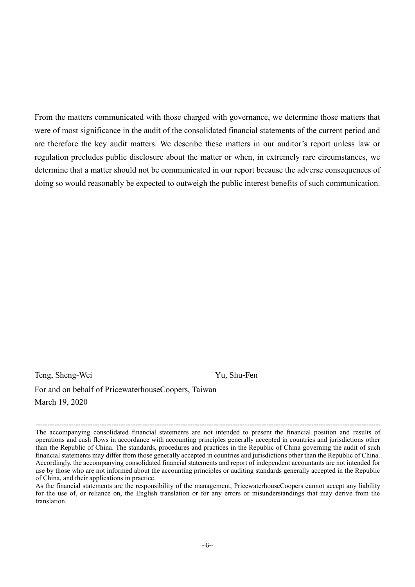From the matters communicated with those charged with governance, we determine those matters that were of most significance in the audit of the consolidated financial statements of the current period and are therefore the key audit matters. We describe these matters in our auditor's report unless law or regulation precludes public disclosure about the matter or when, in extremely rare circumstances, we determine that a matter should not be communicated in our report because the adverse consequences of doing so would reasonably be expected to outweigh the public interest benefits of such communication.

Teng, Sheng-Wei Yu, Shu-Fen For and on behalf of PricewaterhouseCoopers, Taiwan March 19, 2020

<sup>-------------------------------------------------------------------------------------------------------------------------------------------------</sup> The accompanying consolidated financial statements are not intended to present the financial position and results of operations and cash flows in accordance with accounting principles generally accepted in countries and jurisdictions other than the Republic of China. The standards, procedures and practices in the Republic of China governing the audit of such financial statements may differ from those generally accepted in countries and jurisdictions other than the Republic of China. Accordingly, the accompanying consolidated financial statements and report of independent accountants are not intended for use by those who are not informed about the accounting principles or auditing standards generally accepted in the Republic of China, and their applications in practice.

As the financial statements are the responsibility of the management, PricewaterhouseCoopers cannot accept any liability for the use of, or reliance on, the English translation or for any errors or misunderstandings that may derive from the translation.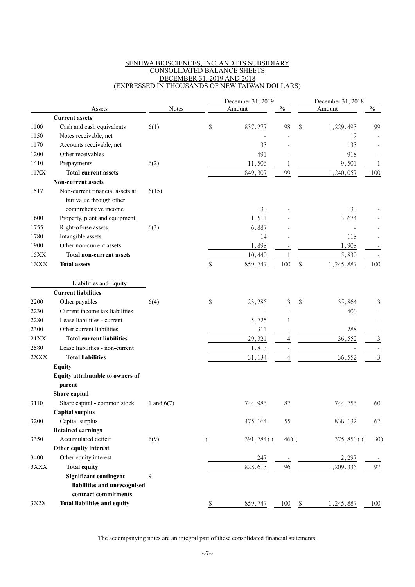#### SENHWA BIOSCIENCES, INC. AND ITS SUBSIDIARY CONSOLIDATED BALANCE SHEETS DECEMBER 31, 2019 AND 2018 (EXPRESSED IN THOUSANDS OF NEW TAIWAN DOLLARS)

|      |                                                                                     |              |                   | December 31, 2019 |         | December 31, 2018          |               |                |  |
|------|-------------------------------------------------------------------------------------|--------------|-------------------|-------------------|---------|----------------------------|---------------|----------------|--|
|      | Assets                                                                              | <b>Notes</b> |                   | Amount            | $\%$    |                            | Amount        | $\%$           |  |
|      | <b>Current assets</b>                                                               |              |                   |                   |         |                            |               |                |  |
| 1100 | Cash and cash equivalents                                                           | 6(1)         | $\boldsymbol{\$}$ | 837,277           | 98      | \$                         | 1,229,493     | 99             |  |
| 1150 | Notes receivable, net                                                               |              |                   |                   |         |                            | 12            |                |  |
| 1170 | Accounts receivable, net                                                            |              |                   | 33                |         |                            | 133           |                |  |
| 1200 | Other receivables                                                                   |              |                   | 491               |         |                            | 918           |                |  |
| 1410 | Prepayments                                                                         | 6(2)         |                   | 11,506            | 1       |                            | 9,501         | 1              |  |
| 11XX | <b>Total current assets</b>                                                         |              |                   | 849,307           | 99      |                            | 1,240,057     | 100            |  |
|      | <b>Non-current assets</b>                                                           |              |                   |                   |         |                            |               |                |  |
| 1517 | Non-current financial assets at<br>fair value through other<br>comprehensive income | 6(15)        |                   | 130               |         |                            | 130           |                |  |
| 1600 | Property, plant and equipment                                                       |              |                   | 1,511             |         |                            | 3,674         |                |  |
| 1755 | Right-of-use assets                                                                 | 6(3)         |                   | 6,887             |         |                            |               |                |  |
| 1780 | Intangible assets                                                                   |              |                   | 14                |         |                            | 118           |                |  |
| 1900 | Other non-current assets                                                            |              |                   | 1,898             |         |                            | 1,908         |                |  |
| 15XX | <b>Total non-current assets</b>                                                     |              |                   | 10,440            | 1       |                            | 5,830         |                |  |
| 1XXX | <b>Total assets</b>                                                                 |              | \$                | 859,747           | 100     | \$                         | 1,245,887     | 100            |  |
|      |                                                                                     |              |                   |                   |         |                            |               |                |  |
|      | Liabilities and Equity                                                              |              |                   |                   |         |                            |               |                |  |
|      | <b>Current liabilities</b>                                                          |              |                   |                   |         |                            |               |                |  |
| 2200 | Other payables                                                                      | 6(4)         | \$                | 23,285            | 3       | \$                         | 35,864        | 3              |  |
| 2230 | Current income tax liabilities                                                      |              |                   |                   |         |                            | 400           |                |  |
| 2280 | Lease liabilities - current                                                         |              |                   | 5,725             | 1       |                            |               |                |  |
| 2300 | Other current liabilities                                                           |              |                   | 311               |         |                            | 288           |                |  |
| 21XX | <b>Total current liabilities</b>                                                    |              |                   | 29,321            | 4       |                            | 36,552        | 3              |  |
| 2580 | Lease liabilities - non-current                                                     |              |                   | 1,813             |         |                            |               |                |  |
| 2XXX | <b>Total liabilities</b>                                                            |              |                   | 31,134            | 4       |                            | 36,552        | $\mathfrak{Z}$ |  |
|      | <b>Equity</b>                                                                       |              |                   |                   |         |                            |               |                |  |
|      | Equity attributable to owners of                                                    |              |                   |                   |         |                            |               |                |  |
|      | parent                                                                              |              |                   |                   |         |                            |               |                |  |
|      | Share capital                                                                       |              |                   |                   |         |                            |               |                |  |
| 3110 | Share capital - common stock                                                        | 1 and $6(7)$ |                   | 744,986           | 87      |                            | 744,756       | 60             |  |
|      | Capital surplus                                                                     |              |                   |                   |         |                            |               |                |  |
| 3200 | Capital surplus                                                                     |              |                   | 475,164           | 55      |                            | 838,132       | 67             |  |
|      | <b>Retained earnings</b>                                                            |              |                   |                   |         |                            |               |                |  |
| 3350 | Accumulated deficit                                                                 | 6(9)         | $\left($          | 391,784) (        | $46)$ ( |                            | $375,850$ ) ( | 30)            |  |
|      | Other equity interest                                                               |              |                   |                   |         |                            |               |                |  |
| 3400 | Other equity interest                                                               |              |                   | 247               |         |                            | 2,297         |                |  |
| 3XXX | <b>Total equity</b>                                                                 |              |                   | 828,613           | 96      |                            | 1,209,335     | 97             |  |
|      | <b>Significant contingent</b>                                                       | 9            |                   |                   |         |                            |               |                |  |
|      | liabilities and unrecognised                                                        |              |                   |                   |         |                            |               |                |  |
|      | contract commitments                                                                |              |                   |                   |         |                            |               |                |  |
| 3X2X | Total liabilities and equity                                                        |              | \$                | 859,747           | 100     | $\boldsymbol{\mathsf{\$}}$ | 1,245,887     | 100            |  |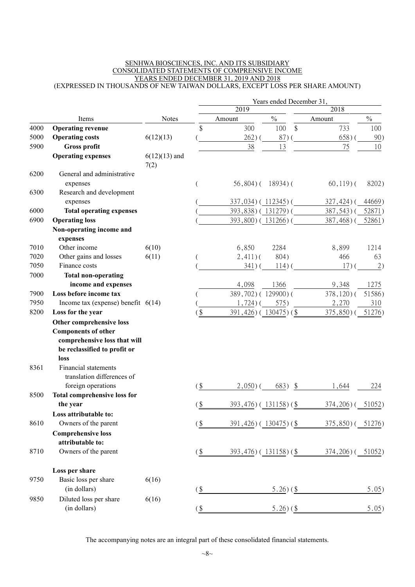#### SENHWA BIOSCIENCES, INC. AND ITS SUBSIDIARY CONSOLIDATED STATEMENTS OF COMPRENSIVE INCOME YEARS ENDED DECEMBER 31, 2019 AND 2018 (EXPRESSED IN THOUSANDS OF NEW TAIWAN DOLLARS, EXCEPT LOSS PER SHARE AMOUNT)

|      |                                      | Years ended December 31, |                |                     |                                                   |                   |                 |  |  |  |
|------|--------------------------------------|--------------------------|----------------|---------------------|---------------------------------------------------|-------------------|-----------------|--|--|--|
|      |                                      |                          |                | 2019                |                                                   | 2018              |                 |  |  |  |
|      | Items                                | <b>Notes</b>             |                | Amount              | $\frac{0}{0}$                                     | Amount            | $\frac{0}{0}$   |  |  |  |
| 4000 | <b>Operating revenue</b>             |                          | \$             | 300                 | \$<br>100                                         | 733               | 100             |  |  |  |
| 5000 | <b>Operating costs</b>               | 6(12)(13)                |                | 262)                | 87)                                               | 658)              | 90)             |  |  |  |
| 5900 | <b>Gross profit</b>                  |                          |                | 38                  | 13                                                | 75                | 10              |  |  |  |
|      | <b>Operating expenses</b>            | $6(12)(13)$ and<br>7(2)  |                |                     |                                                   |                   |                 |  |  |  |
| 6200 | General and administrative           |                          |                |                     |                                                   |                   |                 |  |  |  |
|      | expenses                             |                          | $\overline{ }$ | $56,804$ ) (        | $18934$ ) (                                       | $60, 119$ ) (     | 8202)           |  |  |  |
| 6300 | Research and development             |                          |                |                     |                                                   |                   |                 |  |  |  |
|      | expenses                             |                          |                | 337,034) (112345) ( |                                                   | $327,424$ ) (     | 44669)          |  |  |  |
| 6000 | <b>Total operating expenses</b>      |                          |                | 393,838) (131279) ( |                                                   | 387,543)          | 52871)          |  |  |  |
| 6900 | <b>Operating loss</b>                |                          |                | 393,800) (131266) ( |                                                   | 387,468)(         | 52861)          |  |  |  |
|      | Non-operating income and             |                          |                |                     |                                                   |                   |                 |  |  |  |
|      | expenses                             |                          |                |                     |                                                   |                   |                 |  |  |  |
| 7010 | Other income                         | 6(10)                    |                | 6,850               | 2284                                              | 8,899             | 1214            |  |  |  |
| 7020 | Other gains and losses               | 6(11)                    |                | $2,411)$ (          | 804)                                              | 466               | 63              |  |  |  |
| 7050 | Finance costs                        |                          |                | $341)$ (            | 114)                                              | 17)               | $\overline{2})$ |  |  |  |
| 7000 | <b>Total non-operating</b>           |                          |                |                     |                                                   |                   |                 |  |  |  |
|      | income and expenses                  |                          |                | 4,098               | 1366                                              | 9,348             | 1275            |  |  |  |
| 7900 | Loss before income tax               |                          |                | 389,702) (129900) ( |                                                   | $378,120$ ) (     | 51586)          |  |  |  |
| 7950 | Income tax (expense) benefit $6(14)$ |                          |                | $1,724$ $($         | 575)                                              | 2,270             | 310             |  |  |  |
| 8200 | Loss for the year                    |                          | $\mathfrak{z}$ |                     | 391,426) (130475) (\$                             | $375,850$ ) (     | 51276)          |  |  |  |
|      | Other comprehensive loss             |                          |                |                     |                                                   |                   |                 |  |  |  |
|      | <b>Components of other</b>           |                          |                |                     |                                                   |                   |                 |  |  |  |
|      | comprehensive loss that will         |                          |                |                     |                                                   |                   |                 |  |  |  |
|      | be reclassified to profit or         |                          |                |                     |                                                   |                   |                 |  |  |  |
|      | loss                                 |                          |                |                     |                                                   |                   |                 |  |  |  |
| 8361 | <b>Financial statements</b>          |                          |                |                     |                                                   |                   |                 |  |  |  |
|      | translation differences of           |                          |                |                     |                                                   |                   |                 |  |  |  |
|      | foreign operations                   |                          | $($ \$         | $2,050$ ) (         | 683)<br>\$                                        | 1,644             | 224             |  |  |  |
| 8500 | <b>Total comprehensive loss for</b>  |                          |                |                     |                                                   |                   |                 |  |  |  |
|      | the year                             |                          | $($ \$         |                     | 393,476) (131158) (\$                             | $374,206$ ) (     | 51052)          |  |  |  |
|      | Loss attributable to:                |                          |                |                     |                                                   |                   |                 |  |  |  |
| 8610 | Owners of the parent                 |                          | $($ \$         |                     | 391,426) (130475) (\$                             | $375,850$ ) (     | 51276)          |  |  |  |
|      |                                      |                          |                |                     |                                                   |                   |                 |  |  |  |
|      | <b>Comprehensive loss</b>            |                          |                |                     |                                                   |                   |                 |  |  |  |
|      | attributable to:                     |                          |                |                     |                                                   |                   |                 |  |  |  |
| 8710 | Owners of the parent                 |                          | $\frac{1}{2}$  |                     | $393,476$ ) ( $131158$ ) ( $\text{\textsterling}$ | 374, 206) (51052) |                 |  |  |  |
|      | Loss per share                       |                          |                |                     |                                                   |                   |                 |  |  |  |
|      |                                      |                          |                |                     |                                                   |                   |                 |  |  |  |
| 9750 | Basic loss per share                 | 6(16)                    |                |                     |                                                   |                   |                 |  |  |  |
|      | (in dollars)                         |                          | $($ \$         |                     | $5.26$ ) (\$                                      |                   | 5.05)           |  |  |  |
| 9850 | Diluted loss per share               | 6(16)                    |                |                     |                                                   |                   |                 |  |  |  |
|      | (in dollars)                         |                          | $\frac{1}{2}$  |                     | $(5.26)$ (\$)                                     |                   | 5.05)           |  |  |  |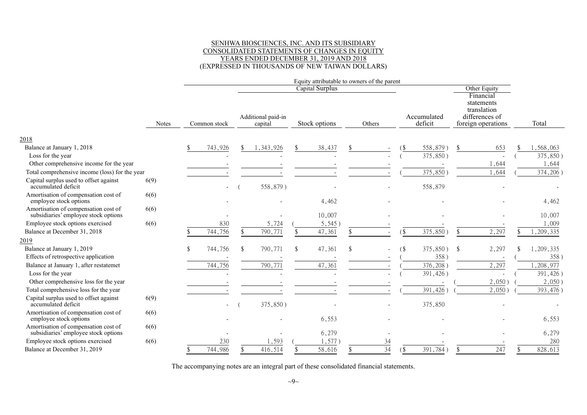#### SENHWA BIOSCIENCES, INC. AND ITS SUBSIDIARY CONSOLIDATED STATEMENTS OF CHANGES IN EQUITY YEARS ENDED DECEMBER 31, 2019 AND 2018 (EXPRESSED IN THOUSANDS OF NEW TAIWAN DOLLARS)

|                                                                              |              |     |              |                               |               | Equity attributable to owners of the parent |               |        |        |                        |                                                                                |            |
|------------------------------------------------------------------------------|--------------|-----|--------------|-------------------------------|---------------|---------------------------------------------|---------------|--------|--------|------------------------|--------------------------------------------------------------------------------|------------|
|                                                                              |              |     |              |                               |               | Capital Surplus                             |               |        |        |                        | Other Equity                                                                   |            |
|                                                                              | <b>Notes</b> |     | Common stock | Additional paid-in<br>capital |               | Stock options                               |               | Others |        | Accumulated<br>deficit | Financial<br>statements<br>translation<br>differences of<br>foreign operations | Total      |
| 2018                                                                         |              |     |              |                               |               |                                             |               |        |        |                        |                                                                                |            |
| Balance at January 1, 2018                                                   |              |     | 743,926      | 1,343,926                     |               | 38,437                                      |               |        | $($ \$ | 558,879)               | $\mathbf{\hat{S}}$<br>653                                                      | ,568,063   |
| Loss for the year                                                            |              |     |              |                               |               |                                             |               |        |        | 375,850)               |                                                                                | 375,850)   |
| Other comprehensive income for the year                                      |              |     |              |                               |               |                                             |               |        |        |                        | 1,644                                                                          | 1,644      |
| Total comprehensive income (loss) for the year                               |              |     |              |                               |               |                                             |               |        |        | 375,850                | 1,644                                                                          | 374,206    |
| Capital surplus used to offset against<br>accumulated deficit                | 6(9)         |     |              | 558,879)                      |               |                                             |               |        |        | 558,879                |                                                                                |            |
| Amortisation of compensation cost of<br>employee stock options               | 6(6)         |     |              |                               |               | 4,462                                       |               |        |        |                        |                                                                                | 4,462      |
| Amortisation of compensation cost of<br>subsidiaries' employee stock options | 6(6)         |     |              |                               |               | 10,007                                      |               |        |        |                        |                                                                                | 10,007     |
| Employee stock options exercised                                             | 6(6)         |     | 830          | 5,724                         |               | 5,545                                       |               |        |        |                        |                                                                                | 1,009      |
| Balance at December 31, 2018                                                 |              |     | 744,756      | 790,771                       |               | 47,361                                      |               |        | 68     | 375,850                | 2,297                                                                          | , 209, 335 |
| 2019                                                                         |              |     |              |                               |               |                                             |               |        |        |                        |                                                                                |            |
| Balance at January 1, 2019                                                   |              | \$. | 744,756      | \$<br>790,771                 | $\mathbf{\$}$ | 47,361                                      | $\mathcal{S}$ |        | $($ \$ | 375,850)               | $\sqrt[6]{\frac{1}{2}}$<br>2,297                                               | 1,209,335  |
| Effects of retrospective application                                         |              |     |              |                               |               |                                             |               |        |        | 358                    |                                                                                | 358        |
| Balance at January 1, after restatemet                                       |              |     | 744,756      | 790,771                       |               | 47,361                                      |               |        |        | 376,208)               | 2,297                                                                          | , 208, 977 |
| Loss for the year                                                            |              |     |              |                               |               |                                             |               |        |        | 391,426)               |                                                                                | 391,426)   |
| Other comprehensive loss for the year                                        |              |     |              |                               |               |                                             |               |        |        |                        | 2,050                                                                          | 2,050      |
| Total comprehensive loss for the year                                        |              |     |              |                               |               |                                             |               |        |        | 391,426)               | 2,050)                                                                         | 393,476    |
| Capital surplus used to offset against<br>accumulated deficit                | 6(9)         |     |              | 375,850)                      |               |                                             |               |        |        | 375,850                |                                                                                |            |
| Amortisation of compensation cost of<br>employee stock options               | 6(6)         |     |              |                               |               | 6,553                                       |               |        |        |                        |                                                                                | 6,553      |
| Amortisation of compensation cost of<br>subsidiaries' employee stock options | 6(6)         |     |              |                               |               | 6,279                                       |               |        |        |                        |                                                                                | 6,279      |
| Employee stock options exercised                                             | 6(6)         |     | 230          | 1,593                         |               | 1,577                                       |               | 34     |        |                        |                                                                                | 280        |
| Balance at December 31, 2019                                                 |              | \$. | 744,986      | 416,514                       |               | 58,616                                      |               | 34     | $($ \$ | 391,784                | 247<br><sup>\$</sup>                                                           | 828,613    |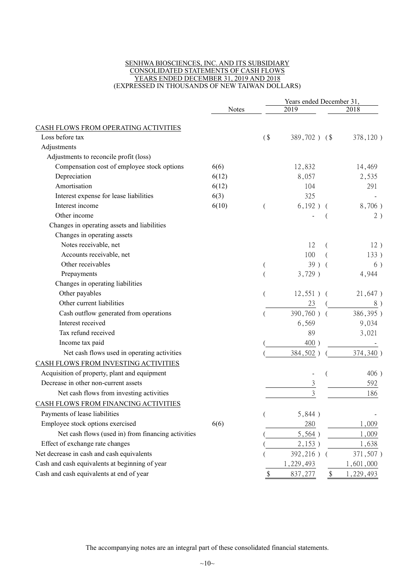#### SENHWA BIOSCIENCES, INC. AND ITS SUBSIDIARY CONSOLIDATED STATEMENTS OF CASH FLOWS YEARS ENDED DECEMBER 31, 2019 AND 2018 (EXPRESSED IN THOUSANDS OF NEW TAIWAN DOLLARS)

|                                                    |       | Years ended December 31, |                         |    |           |
|----------------------------------------------------|-------|--------------------------|-------------------------|----|-----------|
|                                                    | Notes |                          | 2019                    |    | 2018      |
| CASH FLOWS FROM OPERATING ACTIVITIES               |       |                          |                         |    |           |
| Loss before tax                                    |       | (                        | 389,702) (\$            |    | 378,120)  |
| Adjustments                                        |       |                          |                         |    |           |
| Adjustments to reconcile profit (loss)             |       |                          |                         |    |           |
| Compensation cost of employee stock options        | 6(6)  |                          | 12,832                  |    | 14,469    |
| Depreciation                                       | 6(12) |                          | 8,057                   |    | 2,535     |
| Amortisation                                       | 6(12) |                          | 104                     |    | 291       |
| Interest expense for lease liabilities             | 6(3)  |                          | 325                     |    |           |
| Interest income                                    | 6(10) | (                        | 6,192)                  |    | 8,706)    |
| Other income                                       |       |                          |                         |    | 2)        |
| Changes in operating assets and liabilities        |       |                          |                         |    |           |
| Changes in operating assets                        |       |                          |                         |    |           |
| Notes receivable, net                              |       |                          | 12                      |    | 12)       |
| Accounts receivable, net                           |       |                          | 100                     |    | 133)      |
| Other receivables                                  |       |                          | 39)                     |    | 6)        |
| Prepayments                                        |       |                          | $3,729$ )               |    | 4,944     |
| Changes in operating liabilities                   |       |                          |                         |    |           |
| Other payables                                     |       |                          | $12,551$ )              |    | 21,647)   |
| Other current liabilities                          |       |                          | 23                      |    | 8)        |
| Cash outflow generated from operations             |       |                          | 390,760) (              |    | 386,395)  |
| Interest received                                  |       |                          | 6,569                   |    | 9,034     |
| Tax refund received                                |       |                          | 89                      |    | 3,021     |
| Income tax paid                                    |       |                          | 400)                    |    |           |
| Net cash flows used in operating activities        |       |                          | 384,502)                |    | 374,340)  |
| CASH FLOWS FROM INVESTING ACTIVITIES               |       |                          |                         |    |           |
| Acquisition of property, plant and equipment       |       |                          |                         |    | 406)      |
| Decrease in other non-current assets               |       |                          | $\overline{\mathbf{3}}$ |    | 592       |
| Net cash flows from investing activities           |       |                          | $\overline{3}$          |    | 186       |
| CASH FLOWS FROM FINANCING ACTIVITIES               |       |                          |                         |    |           |
| Payments of lease liabilities                      |       |                          | 5,844)                  |    |           |
| Employee stock options exercised                   | 6(6)  |                          | 280                     |    | 1,009     |
| Net cash flows (used in) from financing activities |       |                          | 5,564)                  |    | 1,009     |
| Effect of exchange rate changes                    |       |                          | 2,153)                  |    | 1,638     |
| Net decrease in cash and cash equivalents          |       |                          | 392,216)                |    | 371,507)  |
| Cash and cash equivalents at beginning of year     |       |                          | 1,229,493               |    | 1,601,000 |
| Cash and cash equivalents at end of year           |       | P.                       | 837,277                 | \$ | 1,229,493 |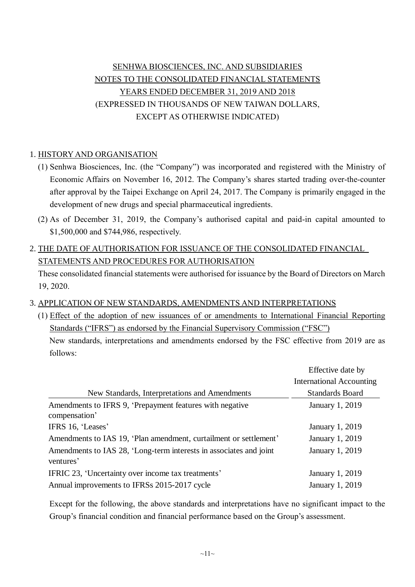## SENHWA BIOSCIENCES, INC. AND SUBSIDIARIES NOTES TO THE CONSOLIDATED FINANCIAL STATEMENTS YEARS ENDED DECEMBER 31, 2019 AND 2018 (EXPRESSED IN THOUSANDS OF NEW TAIWAN DOLLARS, EXCEPT AS OTHERWISE INDICATED)

### 1. HISTORY AND ORGANISATION

- (1) Senhwa Biosciences, Inc. (the "Company") was incorporated and registered with the Ministry of Economic Affairs on November 16, 2012. The Company's shares started trading over-the-counter after approval by the Taipei Exchange on April 24, 2017. The Company is primarily engaged in the development of new drugs and special pharmaceutical ingredients.
- (2) As of December 31, 2019, the Company's authorised capital and paid-in capital amounted to \$1,500,000 and \$744,986, respectively.
- 2. THE DATE OF AUTHORISATION FOR ISSUANCE OF THE CONSOLIDATED FINANCIAL STATEMENTS AND PROCEDURES FOR AUTHORISATION

These consolidated financial statements were authorised for issuance by the Board of Directors on March 19, 2020.

3. APPLICATION OF NEW STANDARDS, AMENDMENTS AND INTERPRETATIONS

(1) Effect of the adoption of new issuances of or amendments to International Financial Reporting Standards ("IFRS") as endorsed by the Financial Supervisory Commission ("FSC") New standards, interpretations and amendments endorsed by the FSC effective from 2019 are as follows:

|                                                                                 | Effective date by               |
|---------------------------------------------------------------------------------|---------------------------------|
|                                                                                 | <b>International Accounting</b> |
| New Standards, Interpretations and Amendments                                   | <b>Standards Board</b>          |
| Amendments to IFRS 9, 'Prepayment features with negative<br>compensation'       | January 1, 2019                 |
| IFRS 16, 'Leases'                                                               | January 1, 2019                 |
| Amendments to IAS 19, 'Plan amendment, curtailment or settlement'               | January 1, 2019                 |
| Amendments to IAS 28, 'Long-term interests in associates and joint<br>ventures' | January 1, 2019                 |
| IFRIC 23, 'Uncertainty over income tax treatments'                              | January 1, 2019                 |
| Annual improvements to IFRSs 2015-2017 cycle                                    | January 1, 2019                 |

Except for the following, the above standards and interpretations have no significant impact to the Group's financial condition and financial performance based on the Group's assessment.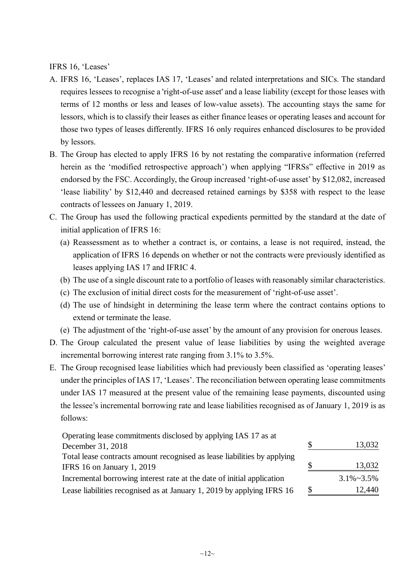IFRS 16, 'Leases'

- A. IFRS 16, 'Leases', replaces IAS 17, 'Leases' and related interpretations and SICs. The standard requires lessees to recognise a 'right-of-use asset' and a lease liability (except for those leases with terms of 12 months or less and leases of low-value assets). The accounting stays the same for lessors, which is to classify their leases as either finance leases or operating leases and account for those two types of leases differently. IFRS 16 only requires enhanced disclosures to be provided by lessors.
- B. The Group has elected to apply IFRS 16 by not restating the comparative information (referred herein as the 'modified retrospective approach') when applying "IFRSs" effective in 2019 as endorsed by the FSC. Accordingly, the Group increased 'right-of-use asset' by \$12,082, increased 'lease liability' by \$12,440 and decreased retained earnings by \$358 with respect to the lease contracts of lessees on January 1, 2019.
- C. The Group has used the following practical expedients permitted by the standard at the date of initial application of IFRS 16:
	- (a) Reassessment as to whether a contract is, or contains, a lease is not required, instead, the application of IFRS 16 depends on whether or not the contracts were previously identified as leases applying IAS 17 and IFRIC 4.
	- (b) The use of a single discount rate to a portfolio of leases with reasonably similar characteristics.
	- (c) The exclusion of initial direct costs for the measurement of 'right-of-use asset'.
	- (d) The use of hindsight in determining the lease term where the contract contains options to extend or terminate the lease.
	- (e) The adjustment of the 'right-of-use asset' by the amount of any provision for onerous leases.
- D. The Group calculated the present value of lease liabilities by using the weighted average incremental borrowing interest rate ranging from 3.1% to 3.5%.
- E. The Group recognised lease liabilities which had previously been classified as 'operating leases' under the principles of IAS 17, 'Leases'. The reconciliation between operating lease commitments under IAS 17 measured at the present value of the remaining lease payments, discounted using the lessee's incremental borrowing rate and lease liabilities recognised as of January 1, 2019 is as follows:

| Operating lease commitments disclosed by applying IAS 17 as at           |   |                    |
|--------------------------------------------------------------------------|---|--------------------|
| December 31, 2018                                                        |   | 13,032             |
| Total lease contracts amount recognised as lease liabilities by applying |   |                    |
| IFRS 16 on January 1, 2019                                               |   | 13,032             |
| Incremental borrowing interest rate at the date of initial application   |   | $3.1\% \sim 3.5\%$ |
| Lease liabilities recognised as at January 1, 2019 by applying IFRS 16   | S | 12,440             |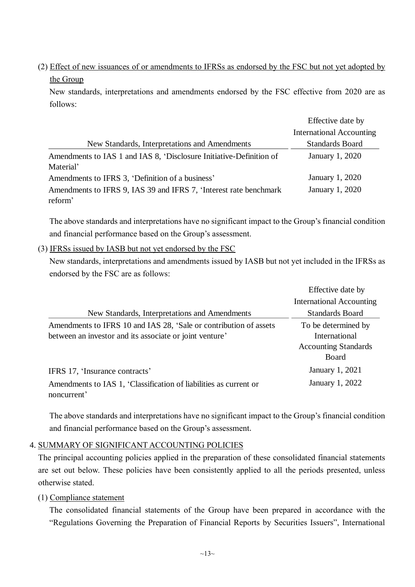(2) Effect of new issuances of or amendments to IFRSs as endorsed by the FSC but not yet adopted by the Group

New standards, interpretations and amendments endorsed by the FSC effective from 2020 are as follows:

|                                                                     | Effective date by               |
|---------------------------------------------------------------------|---------------------------------|
|                                                                     | <b>International Accounting</b> |
| New Standards, Interpretations and Amendments                       | <b>Standards Board</b>          |
| Amendments to IAS 1 and IAS 8, 'Disclosure Initiative-Definition of | January 1, 2020                 |
| Material'                                                           |                                 |
| Amendments to IFRS 3, 'Definition of a business'                    | January 1, 2020                 |
| Amendments to IFRS 9, IAS 39 and IFRS 7, 'Interest rate benchmark   | January 1, 2020                 |
| reform'                                                             |                                 |

The above standards and interpretations have no significant impact to the Group's financial condition and financial performance based on the Group's assessment.

### (3) IFRSs issued by IASB but not yet endorsed by the FSC

New standards, interpretations and amendments issued by IASB but not yet included in the IFRSs as endorsed by the FSC are as follows:

|                                                                   | Effective date by               |
|-------------------------------------------------------------------|---------------------------------|
|                                                                   | <b>International Accounting</b> |
| New Standards, Interpretations and Amendments                     | <b>Standards Board</b>          |
| Amendments to IFRS 10 and IAS 28, 'Sale or contribution of assets | To be determined by             |
| between an investor and its associate or joint venture'           | International                   |
|                                                                   | <b>Accounting Standards</b>     |
|                                                                   | Board                           |
| IFRS 17, 'Insurance contracts'                                    | January 1, 2021                 |
| Amendments to IAS 1, 'Classification of liabilities as current or | January 1, 2022                 |
| noncurrent'                                                       |                                 |

The above standards and interpretations have no significant impact to the Group's financial condition and financial performance based on the Group's assessment.

### 4. SUMMARY OF SIGNIFICANT ACCOUNTING POLICIES

The principal accounting policies applied in the preparation of these consolidated financial statements are set out below. These policies have been consistently applied to all the periods presented, unless otherwise stated.

### (1) Compliance statement

The consolidated financial statements of the Group have been prepared in accordance with the "Regulations Governing the Preparation of Financial Reports by Securities Issuers", International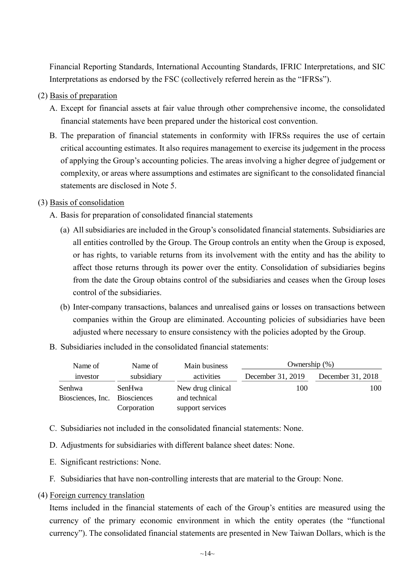Financial Reporting Standards, International Accounting Standards, IFRIC Interpretations, and SIC Interpretations as endorsed by the FSC (collectively referred herein as the "IFRSs").

### (2) Basis of preparation

- A. Except for financial assets at fair value through other comprehensive income, the consolidated financial statements have been prepared under the historical cost convention.
- B. The preparation of financial statements in conformity with IFRSs requires the use of certain critical accounting estimates. It also requires management to exercise its judgement in the process of applying the Group's accounting policies. The areas involving a higher degree of judgement or complexity, or areas where assumptions and estimates are significant to the consolidated financial statements are disclosed in Note 5.

### (3) Basis of consolidation

- A. Basis for preparation of consolidated financial statements
	- (a) All subsidiaries are included in the Group's consolidated financial statements. Subsidiaries are all entities controlled by the Group. The Group controls an entity when the Group is exposed, or has rights, to variable returns from its involvement with the entity and has the ability to affect those returns through its power over the entity. Consolidation of subsidiaries begins from the date the Group obtains control of the subsidiaries and ceases when the Group loses control of the subsidiaries.
	- (b) Inter-company transactions, balances and unrealised gains or losses on transactions between companies within the Group are eliminated. Accounting policies of subsidiaries have been adjusted where necessary to ensure consistency with the policies adopted by the Group.
- B. Subsidiaries included in the consolidated financial statements:

| Name of           | Name of            | Main business     | Ownership $(\%)$  |                   |  |  |  |
|-------------------|--------------------|-------------------|-------------------|-------------------|--|--|--|
| investor          | subsidiary         | activities        | December 31, 2019 | December 31, 2018 |  |  |  |
| Senhwa            | SenHwa             | New drug clinical | 100               | 100               |  |  |  |
| Biosciences, Inc. | <b>Biosciences</b> | and technical     |                   |                   |  |  |  |
|                   | Corporation        | support services  |                   |                   |  |  |  |

- C. Subsidiaries not included in the consolidated financial statements: None.
- D. Adjustments for subsidiaries with different balance sheet dates: None.
- E. Significant restrictions: None.
- F. Subsidiaries that have non-controlling interests that are material to the Group: None.
- (4) Foreign currency translation

Items included in the financial statements of each of the Group's entities are measured using the currency of the primary economic environment in which the entity operates (the "functional currency"). The consolidated financial statements are presented in New Taiwan Dollars, which is the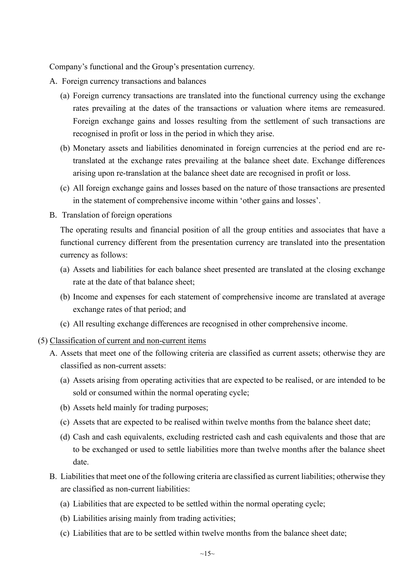Company's functional and the Group's presentation currency.

- A. Foreign currency transactions and balances
	- (a) Foreign currency transactions are translated into the functional currency using the exchange rates prevailing at the dates of the transactions or valuation where items are remeasured. Foreign exchange gains and losses resulting from the settlement of such transactions are recognised in profit or loss in the period in which they arise.
	- (b) Monetary assets and liabilities denominated in foreign currencies at the period end are retranslated at the exchange rates prevailing at the balance sheet date. Exchange differences arising upon re-translation at the balance sheet date are recognised in profit or loss.
	- (c) All foreign exchange gains and losses based on the nature of those transactions are presented in the statement of comprehensive income within 'other gains and losses'.
- B. Translation of foreign operations

The operating results and financial position of all the group entities and associates that have a functional currency different from the presentation currency are translated into the presentation currency as follows:

- (a) Assets and liabilities for each balance sheet presented are translated at the closing exchange rate at the date of that balance sheet;
- (b) Income and expenses for each statement of comprehensive income are translated at average exchange rates of that period; and
- (c) All resulting exchange differences are recognised in other comprehensive income.
- (5) Classification of current and non-current items
	- A. Assets that meet one of the following criteria are classified as current assets; otherwise they are classified as non-current assets:
		- (a) Assets arising from operating activities that are expected to be realised, or are intended to be sold or consumed within the normal operating cycle;
		- (b) Assets held mainly for trading purposes;
		- (c) Assets that are expected to be realised within twelve months from the balance sheet date;
		- (d) Cash and cash equivalents, excluding restricted cash and cash equivalents and those that are to be exchanged or used to settle liabilities more than twelve months after the balance sheet date.
	- B. Liabilities that meet one of the following criteria are classified as current liabilities; otherwise they are classified as non-current liabilities:
		- (a) Liabilities that are expected to be settled within the normal operating cycle;
		- (b) Liabilities arising mainly from trading activities;
		- (c) Liabilities that are to be settled within twelve months from the balance sheet date;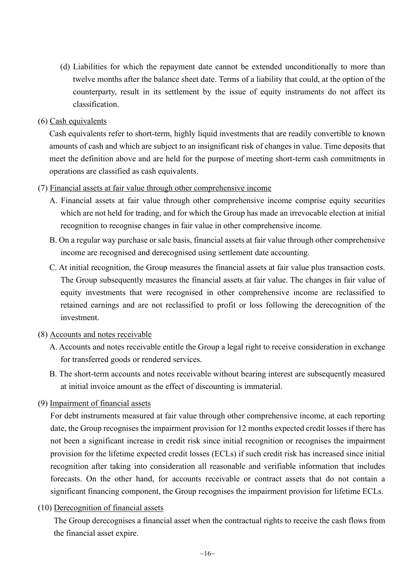- (d) Liabilities for which the repayment date cannot be extended unconditionally to more than twelve months after the balance sheet date. Terms of a liability that could, at the option of the counterparty, result in its settlement by the issue of equity instruments do not affect its classification.
- (6) Cash equivalents

Cash equivalents refer to short-term, highly liquid investments that are readily convertible to known amounts of cash and which are subject to an insignificant risk of changes in value. Time deposits that meet the definition above and are held for the purpose of meeting short-term cash commitments in operations are classified as cash equivalents.

- (7) Financial assets at fair value through other comprehensive income
	- A. Financial assets at fair value through other comprehensive income comprise equity securities which are not held for trading, and for which the Group has made an irrevocable election at initial recognition to recognise changes in fair value in other comprehensive income.
	- B. On a regular way purchase or sale basis, financial assets at fair value through other comprehensive income are recognised and derecognised using settlement date accounting.
	- C. At initial recognition, the Group measures the financial assets at fair value plus transaction costs. The Group subsequently measures the financial assets at fair value. The changes in fair value of equity investments that were recognised in other comprehensive income are reclassified to retained earnings and are not reclassified to profit or loss following the derecognition of the investment.
- (8) Accounts and notes receivable
	- A. Accounts and notes receivable entitle the Group a legal right to receive consideration in exchange for transferred goods or rendered services.
	- B. The short-term accounts and notes receivable without bearing interest are subsequently measured at initial invoice amount as the effect of discounting is immaterial.
- (9) Impairment of financial assets

For debt instruments measured at fair value through other comprehensive income, at each reporting date, the Group recognises the impairment provision for 12 months expected credit losses if there has not been a significant increase in credit risk since initial recognition or recognises the impairment provision for the lifetime expected credit losses (ECLs) if such credit risk has increased since initial recognition after taking into consideration all reasonable and verifiable information that includes forecasts. On the other hand, for accounts receivable or contract assets that do not contain a significant financing component, the Group recognises the impairment provision for lifetime ECLs.

(10) Derecognition of financial assets

The Group derecognises a financial asset when the contractual rights to receive the cash flows from the financial asset expire.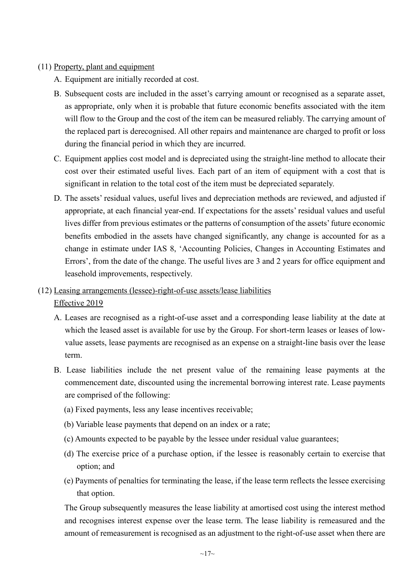#### (11) Property, plant and equipment

- A. Equipment are initially recorded at cost.
- B. Subsequent costs are included in the asset's carrying amount or recognised as a separate asset, as appropriate, only when it is probable that future economic benefits associated with the item will flow to the Group and the cost of the item can be measured reliably. The carrying amount of the replaced part is derecognised. All other repairs and maintenance are charged to profit or loss during the financial period in which they are incurred.
- C. Equipment applies cost model and is depreciated using the straight-line method to allocate their cost over their estimated useful lives. Each part of an item of equipment with a cost that is significant in relation to the total cost of the item must be depreciated separately.
- D. The assets' residual values, useful lives and depreciation methods are reviewed, and adjusted if appropriate, at each financial year-end. If expectations for the assets' residual values and useful lives differ from previous estimates or the patterns of consumption of the assets' future economic benefits embodied in the assets have changed significantly, any change is accounted for as a change in estimate under IAS 8, 'Accounting Policies, Changes in Accounting Estimates and Errors', from the date of the change. The useful lives are 3 and 2 years for office equipment and leasehold improvements, respectively.

### (12) Leasing arrangements (lessee)-right-of-use assets/lease liabilities Effective 2019

- A. Leases are recognised as a right-of-use asset and a corresponding lease liability at the date at which the leased asset is available for use by the Group. For short-term leases or leases of lowvalue assets, lease payments are recognised as an expense on a straight-line basis over the lease term.
- B. Lease liabilities include the net present value of the remaining lease payments at the commencement date, discounted using the incremental borrowing interest rate. Lease payments are comprised of the following:
	- (a) Fixed payments, less any lease incentives receivable;
	- (b) Variable lease payments that depend on an index or a rate;
	- (c) Amounts expected to be payable by the lessee under residual value guarantees;
	- (d) The exercise price of a purchase option, if the lessee is reasonably certain to exercise that option; and
	- (e) Payments of penalties for terminating the lease, if the lease term reflects the lessee exercising that option.

The Group subsequently measures the lease liability at amortised cost using the interest method and recognises interest expense over the lease term. The lease liability is remeasured and the amount of remeasurement is recognised as an adjustment to the right-of-use asset when there are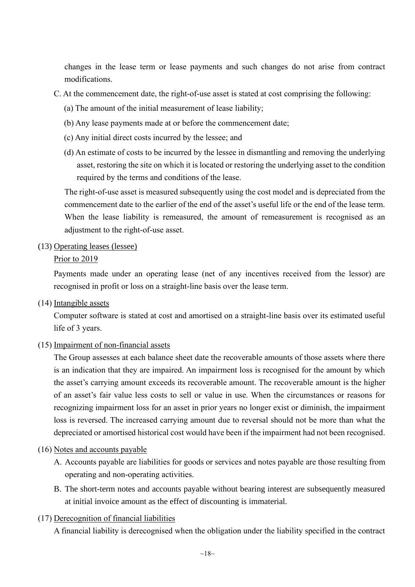changes in the lease term or lease payments and such changes do not arise from contract modifications.

- C. At the commencement date, the right-of-use asset is stated at cost comprising the following:
	- (a) The amount of the initial measurement of lease liability;
	- (b) Any lease payments made at or before the commencement date;
	- (c) Any initial direct costs incurred by the lessee; and
	- (d) An estimate of costs to be incurred by the lessee in dismantling and removing the underlying asset, restoring the site on which it is located or restoring the underlying asset to the condition required by the terms and conditions of the lease.

The right-of-use asset is measured subsequently using the cost model and is depreciated from the commencement date to the earlier of the end of the asset's useful life or the end of the lease term. When the lease liability is remeasured, the amount of remeasurement is recognised as an adjustment to the right-of-use asset.

(13) Operating leases (lessee)

#### Prior to 2019

Payments made under an operating lease (net of any incentives received from the lessor) are recognised in profit or loss on a straight-line basis over the lease term.

(14) Intangible assets

Computer software is stated at cost and amortised on a straight-line basis over its estimated useful life of 3 years.

### (15) Impairment of non-financial assets

The Group assesses at each balance sheet date the recoverable amounts of those assets where there is an indication that they are impaired. An impairment loss is recognised for the amount by which the asset's carrying amount exceeds its recoverable amount. The recoverable amount is the higher of an asset's fair value less costs to sell or value in use. When the circumstances or reasons for recognizing impairment loss for an asset in prior years no longer exist or diminish, the impairment loss is reversed. The increased carrying amount due to reversal should not be more than what the depreciated or amortised historical cost would have been if the impairment had not been recognised.

#### (16) Notes and accounts payable

- A. Accounts payable are liabilities for goods or services and notes payable are those resulting from operating and non-operating activities.
- B. The short-term notes and accounts payable without bearing interest are subsequently measured at initial invoice amount as the effect of discounting is immaterial.

### (17) Derecognition of financial liabilities

A financial liability is derecognised when the obligation under the liability specified in the contract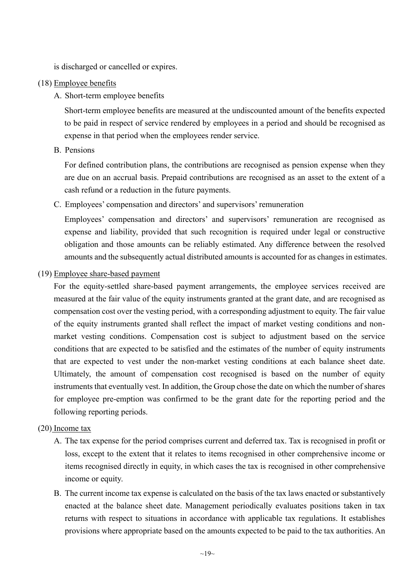is discharged or cancelled or expires.

#### (18) Employee benefits

A. Short-term employee benefits

Short-term employee benefits are measured at the undiscounted amount of the benefits expected to be paid in respect of service rendered by employees in a period and should be recognised as expense in that period when the employees render service.

B. Pensions

For defined contribution plans, the contributions are recognised as pension expense when they are due on an accrual basis. Prepaid contributions are recognised as an asset to the extent of a cash refund or a reduction in the future payments.

C. Employees' compensation and directors' and supervisors' remuneration

Employees' compensation and directors' and supervisors' remuneration are recognised as expense and liability, provided that such recognition is required under legal or constructive obligation and those amounts can be reliably estimated. Any difference between the resolved amounts and the subsequently actual distributed amounts is accounted for as changes in estimates.

(19) Employee share-based payment

For the equity-settled share-based payment arrangements, the employee services received are measured at the fair value of the equity instruments granted at the grant date, and are recognised as compensation cost over the vesting period, with a corresponding adjustment to equity. The fair value of the equity instruments granted shall reflect the impact of market vesting conditions and nonmarket vesting conditions. Compensation cost is subject to adjustment based on the service conditions that are expected to be satisfied and the estimates of the number of equity instruments that are expected to vest under the non-market vesting conditions at each balance sheet date. Ultimately, the amount of compensation cost recognised is based on the number of equity instruments that eventually vest. In addition, the Group chose the date on which the number of shares for employee pre-emption was confirmed to be the grant date for the reporting period and the following reporting periods.

#### (20) Income tax

- A. The tax expense for the period comprises current and deferred tax. Tax is recognised in profit or loss, except to the extent that it relates to items recognised in other comprehensive income or items recognised directly in equity, in which cases the tax is recognised in other comprehensive income or equity.
- B. The current income tax expense is calculated on the basis of the tax laws enacted or substantively enacted at the balance sheet date. Management periodically evaluates positions taken in tax returns with respect to situations in accordance with applicable tax regulations. It establishes provisions where appropriate based on the amounts expected to be paid to the tax authorities. An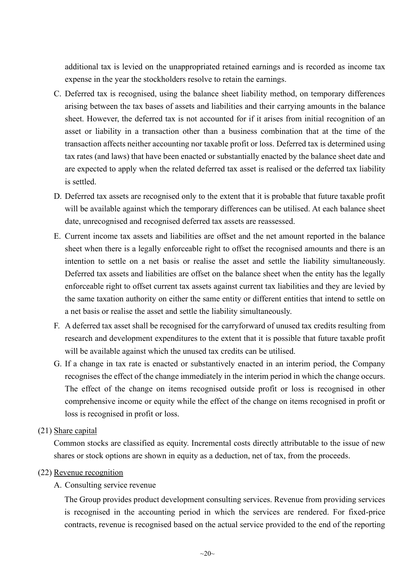additional tax is levied on the unappropriated retained earnings and is recorded as income tax expense in the year the stockholders resolve to retain the earnings.

- C. Deferred tax is recognised, using the balance sheet liability method, on temporary differences arising between the tax bases of assets and liabilities and their carrying amounts in the balance sheet. However, the deferred tax is not accounted for if it arises from initial recognition of an asset or liability in a transaction other than a business combination that at the time of the transaction affects neither accounting nor taxable profit or loss. Deferred tax is determined using tax rates (and laws) that have been enacted or substantially enacted by the balance sheet date and are expected to apply when the related deferred tax asset is realised or the deferred tax liability is settled.
- D. Deferred tax assets are recognised only to the extent that it is probable that future taxable profit will be available against which the temporary differences can be utilised. At each balance sheet date, unrecognised and recognised deferred tax assets are reassessed.
- E. Current income tax assets and liabilities are offset and the net amount reported in the balance sheet when there is a legally enforceable right to offset the recognised amounts and there is an intention to settle on a net basis or realise the asset and settle the liability simultaneously. Deferred tax assets and liabilities are offset on the balance sheet when the entity has the legally enforceable right to offset current tax assets against current tax liabilities and they are levied by the same taxation authority on either the same entity or different entities that intend to settle on a net basis or realise the asset and settle the liability simultaneously.
- F. A deferred tax asset shall be recognised for the carryforward of unused tax credits resulting from research and development expenditures to the extent that it is possible that future taxable profit will be available against which the unused tax credits can be utilised.
- G. If a change in tax rate is enacted or substantively enacted in an interim period, the Company recognises the effect of the change immediately in the interim period in which the change occurs. The effect of the change on items recognised outside profit or loss is recognised in other comprehensive income or equity while the effect of the change on items recognised in profit or loss is recognised in profit or loss.

### (21) Share capital

Common stocks are classified as equity. Incremental costs directly attributable to the issue of new shares or stock options are shown in equity as a deduction, net of tax, from the proceeds.

#### (22) Revenue recognition

A. Consulting service revenue

The Group provides product development consulting services. Revenue from providing services is recognised in the accounting period in which the services are rendered. For fixed-price contracts, revenue is recognised based on the actual service provided to the end of the reporting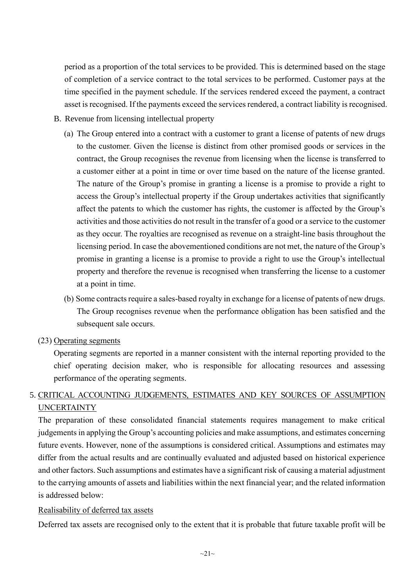period as a proportion of the total services to be provided. This is determined based on the stage of completion of a service contract to the total services to be performed. Customer pays at the time specified in the payment schedule. If the services rendered exceed the payment, a contract asset is recognised. If the payments exceed the services rendered, a contract liability is recognised.

- B. Revenue from licensing intellectual property
	- (a) The Group entered into a contract with a customer to grant a license of patents of new drugs to the customer. Given the license is distinct from other promised goods or services in the contract, the Group recognises the revenue from licensing when the license is transferred to a customer either at a point in time or over time based on the nature of the license granted. The nature of the Group's promise in granting a license is a promise to provide a right to access the Group's intellectual property if the Group undertakes activities that significantly affect the patents to which the customer has rights, the customer is affected by the Group's activities and those activities do not result in the transfer of a good or a service to the customer as they occur. The royalties are recognised as revenue on a straight-line basis throughout the licensing period. In case the abovementioned conditions are not met, the nature of the Group's promise in granting a license is a promise to provide a right to use the Group's intellectual property and therefore the revenue is recognised when transferring the license to a customer at a point in time.
	- (b) Some contracts require a sales-based royalty in exchange for a license of patents of new drugs. The Group recognises revenue when the performance obligation has been satisfied and the subsequent sale occurs.
- (23) Operating segments

Operating segments are reported in a manner consistent with the internal reporting provided to the chief operating decision maker, who is responsible for allocating resources and assessing performance of the operating segments.

## 5. CRITICAL ACCOUNTING JUDGEMENTS, ESTIMATES AND KEY SOURCES OF ASSUMPTION UNCERTAINTY

The preparation of these consolidated financial statements requires management to make critical judgements in applying the Group's accounting policies and make assumptions, and estimates concerning future events. However, none of the assumptions is considered critical. Assumptions and estimates may differ from the actual results and are continually evaluated and adjusted based on historical experience and other factors. Such assumptions and estimates have a significant risk of causing a material adjustment to the carrying amounts of assets and liabilities within the next financial year; and the related information is addressed below:

### Realisability of deferred tax assets

Deferred tax assets are recognised only to the extent that it is probable that future taxable profit will be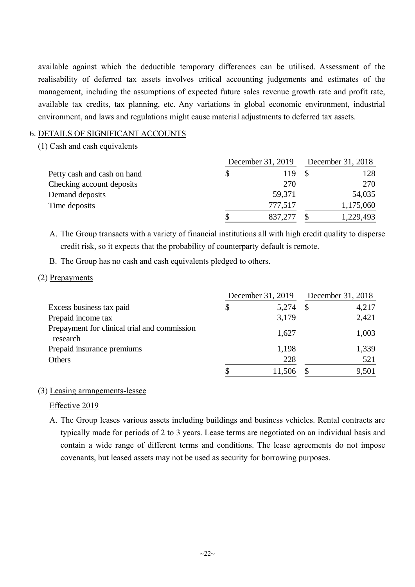available against which the deductible temporary differences can be utilised. Assessment of the realisability of deferred tax assets involves critical accounting judgements and estimates of the management, including the assumptions of expected future sales revenue growth rate and profit rate, available tax credits, tax planning, etc. Any variations in global economic environment, industrial environment, and laws and regulations might cause material adjustments to deferred tax assets.

#### 6. DETAILS OF SIGNIFICANT ACCOUNTS

(1) Cash and cash equivalents

|                             | December 31, 2019 | December 31, 2018 |  |           |
|-----------------------------|-------------------|-------------------|--|-----------|
| Petty cash and cash on hand |                   | 119               |  | 128       |
| Checking account deposits   |                   | 270               |  | 270       |
| Demand deposits             |                   | 59,371            |  | 54,035    |
| Time deposits               |                   | 777,517           |  | 1,175,060 |
|                             |                   | 837,277           |  | 1,229,493 |

A. The Group transacts with a variety of financial institutions all with high credit quality to disperse credit risk, so it expects that the probability of counterparty default is remote.

B. The Group has no cash and cash equivalents pledged to others.

#### (2) Prepayments

|                                                          | December 31, 2019 | December 31, 2018 |       |  |
|----------------------------------------------------------|-------------------|-------------------|-------|--|
| Excess business tax paid                                 | \$<br>5,274       | <sup>\$</sup>     | 4,217 |  |
| Prepaid income tax                                       | 3,179             |                   | 2,421 |  |
| Prepayment for clinical trial and commission<br>research | 1,627             |                   | 1,003 |  |
| Prepaid insurance premiums                               | 1,198             |                   | 1,339 |  |
| Others                                                   | 228               |                   | 521   |  |
|                                                          | 11,506            |                   | 9,501 |  |

### (3) Leasing arrangements-lessee

### Effective 2019

A. The Group leases various assets including buildings and business vehicles. Rental contracts are typically made for periods of 2 to 3 years. Lease terms are negotiated on an individual basis and contain a wide range of different terms and conditions. The lease agreements do not impose covenants, but leased assets may not be used as security for borrowing purposes.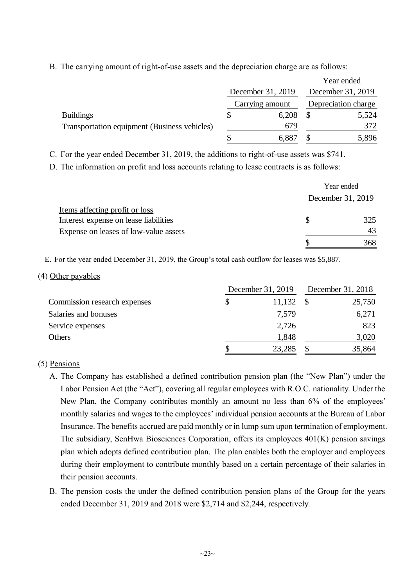B. The carrying amount of right-of-use assets and the depreciation charge are as follows:

|                                              |                   |       | Year ended          |
|----------------------------------------------|-------------------|-------|---------------------|
|                                              | December 31, 2019 |       | December 31, 2019   |
|                                              | Carrying amount   |       | Depreciation charge |
| <b>Buildings</b>                             |                   | 6,208 | 5,524               |
| Transportation equipment (Business vehicles) |                   | 679   | 372                 |
|                                              | S                 | 6,887 | 5,896               |

C. For the year ended December 31, 2019, the additions to right-of-use assets was \$741.

D. The information on profit and loss accounts relating to lease contracts is as follows:

|                                       | Year ended |                   |
|---------------------------------------|------------|-------------------|
|                                       |            | December 31, 2019 |
| Items affecting profit or loss        |            |                   |
| Interest expense on lease liabilities | <b>S</b>   | 325               |
| Expense on leases of low-value assets |            | 43                |
|                                       | S          | 368               |

E. For the year ended December 31, 2019, the Group's total cash outflow for leases was \$5,887.

#### (4) Other payables

|                              | December 31, 2019 | December 31, 2018 |  |        |
|------------------------------|-------------------|-------------------|--|--------|
| Commission research expenses | S                 | 11,132            |  | 25,750 |
| Salaries and bonuses         |                   | 7,579             |  | 6,271  |
| Service expenses             |                   | 2,726             |  | 823    |
| Others                       |                   | 1,848             |  | 3,020  |
|                              |                   | 23,285            |  | 35,864 |

### (5) Pensions

- A. The Company has established a defined contribution pension plan (the "New Plan") under the Labor Pension Act (the "Act"), covering all regular employees with R.O.C. nationality. Under the New Plan, the Company contributes monthly an amount no less than 6% of the employees' monthly salaries and wages to the employees' individual pension accounts at the Bureau of Labor Insurance. The benefits accrued are paid monthly or in lump sum upon termination of employment. The subsidiary, SenHwa Biosciences Corporation, offers its employees 401(K) pension savings plan which adopts defined contribution plan. The plan enables both the employer and employees during their employment to contribute monthly based on a certain percentage of their salaries in their pension accounts.
- B. The pension costs the under the defined contribution pension plans of the Group for the years ended December 31, 2019 and 2018 were \$2,714 and \$2,244, respectively.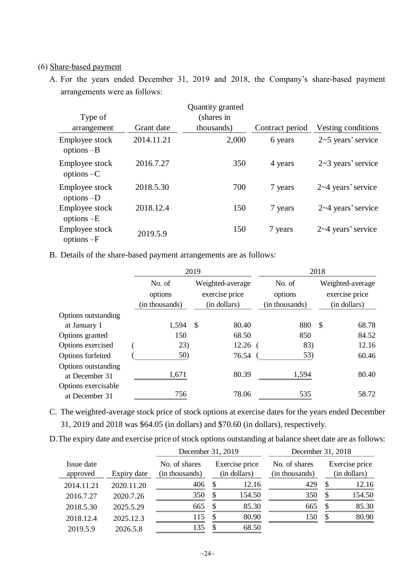#### (6) Share-based payment

A. For the years ended December 31, 2019 and 2018, the Company's share-based payment arrangements were as follows:

| Type of                        |            | Quantity granted<br>(shares in |                 |                           |
|--------------------------------|------------|--------------------------------|-----------------|---------------------------|
| arrangement                    | Grant date | thousands)                     | Contract period | Vesting conditions        |
| Employee stock<br>options $-B$ | 2014.11.21 | 2,000                          | 6 years         | $2 \sim 5$ years' service |
| Employee stock<br>options $-C$ | 2016.7.27  | 350                            | 4 years         | $2~3$ years' service      |
| Employee stock<br>options $-D$ | 2018.5.30  | 700                            | 7 years         | $2\n-4$ years' service    |
| Employee stock<br>options $-E$ | 2018.12.4  | 150                            | 7 years         | $2\nu 4$ years' service   |
| Employee stock<br>$options -F$ | 2019.5.9   | 150                            | 7 years         | $2\nu 4$ years' service   |

B. Details of the share-based payment arrangements are as follows:

|                                       | 2019                                |     | 2018                                               |                                     |    |                                                    |
|---------------------------------------|-------------------------------------|-----|----------------------------------------------------|-------------------------------------|----|----------------------------------------------------|
|                                       | No. of<br>options<br>(in thousands) |     | Weighted-average<br>exercise price<br>(in dollars) | No. of<br>options<br>(in thousands) |    | Weighted-average<br>exercise price<br>(in dollars) |
| Options outstanding                   |                                     |     |                                                    |                                     |    |                                                    |
| at January 1                          | 1,594                               | -\$ | 80.40                                              | 880                                 | -S | 68.78                                              |
| Options granted                       | 150                                 |     | 68.50                                              | 850                                 |    | 84.52                                              |
| Options exercised                     | 23)                                 |     | $12.26$ (                                          | 83)                                 |    | 12.16                                              |
| Options forfeited                     | 50)                                 |     | 76.54                                              | 53)                                 |    | 60.46                                              |
| Options outstanding<br>at December 31 | 1,671                               |     | 80.39                                              | 1,594                               |    | 80.40                                              |
| Options exercisable<br>at December 31 | 756                                 |     | 78.06                                              | 535                                 |    | 58.72                                              |

C. The weighted-average stock price of stock options at exercise dates for the years ended December 31, 2019 and 2018 was \$64.05 (in dollars) and \$70.60 (in dollars), respectively.

D.The expiry date and exercise price of stock options outstanding at balance sheet date are as follows:

|                        |             | December 31, 2019               |     | December 31, 2018              |                                 |     |                                |
|------------------------|-------------|---------------------------------|-----|--------------------------------|---------------------------------|-----|--------------------------------|
| Issue date<br>approved | Expiry date | No. of shares<br>(in thousands) |     | Exercise price<br>(in dollars) | No. of shares<br>(in thousands) |     | Exercise price<br>(in dollars) |
| 2014.11.21             | 2020.11.20  | 406                             |     | 12.16                          | 429                             | S   | 12.16                          |
| 2016.7.27              | 2020.7.26   | 350                             | \$. | 154.50                         | 350                             | S   | 154.50                         |
| 2018.5.30              | 2025.5.29   | 665                             | S   | 85.30                          | 665                             | S   | 85.30                          |
| 2018.12.4              | 2025.12.3   | 115                             |     | 80.90                          | 150                             | \$. | 80.90                          |
| 2019.5.9               | 2026.5.8    | 135                             |     | 68.50                          |                                 |     |                                |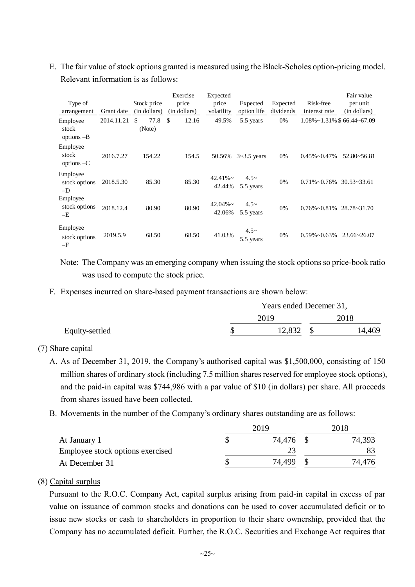| Type of<br>arrangement            | Grant date | Stock price<br>(in dollars) | Exercise<br>price<br>(in dollars) | Expected<br>price<br>volatility | Expected<br>option life | Expected<br>dividends | Risk-free<br>interest rate          | Fair value<br>per unit<br>(in dollars) |
|-----------------------------------|------------|-----------------------------|-----------------------------------|---------------------------------|-------------------------|-----------------------|-------------------------------------|----------------------------------------|
| Employee<br>stock<br>options $-B$ | 2014.11.21 | 77.8<br>\$<br>(Note)        | \$<br>12.16                       | 49.5%                           | 5.5 years               | 0%                    | $1.08\% \sim 1.31\%$ \$ 66.44~67.09 |                                        |
| Employee<br>stock<br>options $-C$ | 2016.7.27  | 154.22                      | 154.5                             | 50.56%                          | $3-3.5$ years           | 0%                    | $0.45\% \sim 0.47\%$                | $52.80 - 56.81$                        |
| Employee<br>stock options<br>$-D$ | 2018.5.30  | 85.30                       | 85.30                             | $42.41\%$ ~<br>42.44%           | $4.5-$<br>5.5 years     | 0%                    | $0.71\% \sim 0.76\%$ 30.53~33.61    |                                        |
| Employee<br>stock options<br>$-E$ | 2018.12.4  | 80.90                       | 80.90                             | $42.04\%$ ~<br>42.06%           | $4.5-$<br>5.5 years     | 0%                    | $0.76\% \sim 0.81\%$                | $28.78 - 31.70$                        |
| Employee<br>stock options<br>$-F$ | 2019.5.9   | 68.50                       | 68.50                             | 41.03%                          | $4.5-$<br>5.5 years     | 0%                    | $0.59\% \sim 0.63\%$                | $23.66 \times 26.07$                   |

## E. The fair value of stock options granted is measured using the Black-Scholes option-pricing model. Relevant information is as follows:

Note: The Company was an emerging company when issuing the stock options so price-book ratio was used to compute the stock price.

F. Expenses incurred on share-based payment transactions are shown below:

|                | Years ended Decemer 31, |        |  |        |
|----------------|-------------------------|--------|--|--------|
|                |                         | 2019   |  | 2018   |
| Equity-settled |                         | 12,832 |  | 14,469 |

### (7) Share capital

- A. As of December 31, 2019, the Company's authorised capital was \$1,500,000, consisting of 150 million shares of ordinary stock (including 7.5 million shares reserved for employee stock options), and the paid-in capital was \$744,986 with a par value of \$10 (in dollars) per share. All proceeds from shares issued have been collected. Years ended Decemer 31,<br>
2019 2011<br>
2019 2013<br>
2018 2019 2018<br>
2019 2019 2018<br>
2019 2018
- B. Movements in the number of the Company's ordinary shares outstanding are as follows:

| 2019   |  |           |
|--------|--|-----------|
|        |  | 74,393    |
|        |  |           |
| 74.499 |  | 74,476    |
|        |  | 74.476 \$ |

### (8) Capital surplus

Pursuant to the R.O.C. Company Act, capital surplus arising from paid-in capital in excess of par value on issuance of common stocks and donations can be used to cover accumulated deficit or to issue new stocks or cash to shareholders in proportion to their share ownership, provided that the Company has no accumulated deficit. Further, the R.O.C. Securities and Exchange Act requires that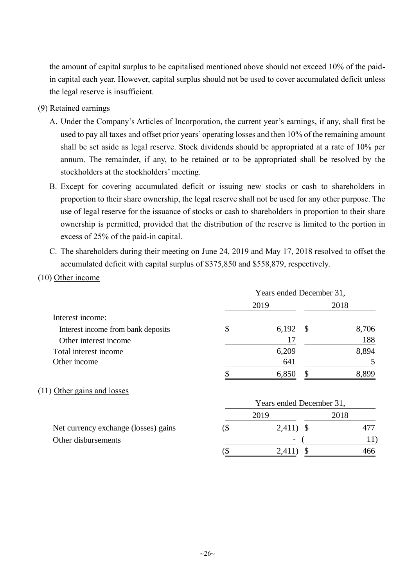the amount of capital surplus to be capitalised mentioned above should not exceed 10% of the paidin capital each year. However, capital surplus should not be used to cover accumulated deficit unless the legal reserve is insufficient.

### (9) Retained earnings

- A. Under the Company's Articles of Incorporation, the current year's earnings, if any, shall first be used to pay all taxes and offset prior years' operating losses and then 10% of the remaining amount shall be set aside as legal reserve. Stock dividends should be appropriated at a rate of 10% per annum. The remainder, if any, to be retained or to be appropriated shall be resolved by the stockholders at the stockholders' meeting.
- B. Except for covering accumulated deficit or issuing new stocks or cash to shareholders in proportion to their share ownership, the legal reserve shall not be used for any other purpose. The use of legal reserve for the issuance of stocks or cash to shareholders in proportion to their share ownership is permitted, provided that the distribution of the reserve is limited to the portion in excess of 25% of the paid-in capital.
- C. The shareholders during their meeting on June 24, 2019 and May 17, 2018 resolved to offset the accumulated deficit with capital surplus of \$375,850 and \$558,879, respectively.

#### (10) Other income

|                                      | Years ended December 31, |                          |     |       |
|--------------------------------------|--------------------------|--------------------------|-----|-------|
|                                      |                          | 2019                     |     | 2018  |
| Interest income:                     |                          |                          |     |       |
| Interest income from bank deposits   | \$                       | 6,192                    | -\$ | 8,706 |
| Other interest income                |                          | 17                       |     | 188   |
| Total interest income                |                          | 6,209                    |     | 8,894 |
| Other income                         |                          | 641                      |     | 5     |
|                                      |                          | 6,850                    |     | 8,899 |
| $(11)$ Other gains and losses        |                          |                          |     |       |
|                                      |                          | Years ended December 31, |     |       |
|                                      |                          | 2019                     |     | 2018  |
| Net currency exchange (losses) gains | (\$                      | $2,411$ \$               |     | 477   |
| Other disbursements                  |                          |                          |     | 11)   |
|                                      |                          | 2,411)                   | S   | 466   |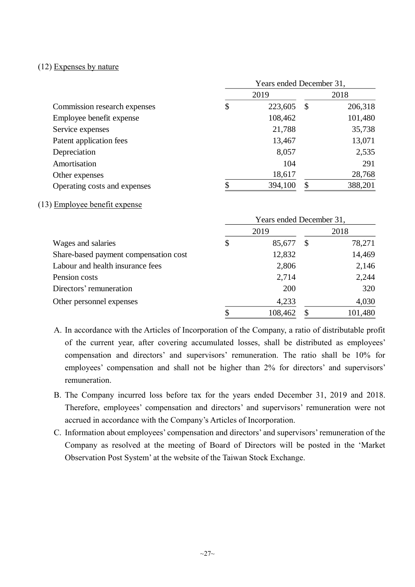#### (12) Expenses by nature

|                              | Years ended December 31, |         |               |         |  |
|------------------------------|--------------------------|---------|---------------|---------|--|
|                              |                          | 2019    |               | 2018    |  |
| Commission research expenses | \$                       | 223,605 | <sup>\$</sup> | 206,318 |  |
| Employee benefit expense     |                          | 108,462 |               | 101,480 |  |
| Service expenses             |                          | 21,788  |               | 35,738  |  |
| Patent application fees      |                          | 13,467  |               | 13,071  |  |
| Depreciation                 |                          | 8,057   |               | 2,535   |  |
| Amortisation                 |                          | 104     |               | 291     |  |
| Other expenses               |                          | 18,617  |               | 28,768  |  |
| Operating costs and expenses | ¢                        | 394,100 | \$            | 388,201 |  |

#### (13) Employee benefit expense

|                                       | Years ended December 31, |         |               |         |
|---------------------------------------|--------------------------|---------|---------------|---------|
|                                       |                          | 2019    |               | 2018    |
| Wages and salaries                    | \$                       | 85,677  | <sup>\$</sup> | 78,271  |
| Share-based payment compensation cost |                          | 12,832  |               | 14,469  |
| Labour and health insurance fees      |                          | 2,806   |               | 2,146   |
| Pension costs                         |                          | 2,714   |               | 2,244   |
| Directors' remuneration               |                          | 200     |               | 320     |
| Other personnel expenses              |                          | 4,233   |               | 4,030   |
|                                       | \$                       | 108,462 |               | 101,480 |

- A. In accordance with the Articles of Incorporation of the Company, a ratio of distributable profit of the current year, after covering accumulated losses, shall be distributed as employees' compensation and directors' and supervisors' remuneration. The ratio shall be 10% for employees' compensation and shall not be higher than 2% for directors' and supervisors' remuneration.
- B. The Company incurred loss before tax for the years ended December 31, 2019 and 2018. Therefore, employees' compensation and directors' and supervisors' remuneration were not accrued in accordance with the Company's Articles of Incorporation.
- C. Information about employees' compensation and directors' and supervisors' remuneration of the Company as resolved at the meeting of Board of Directors will be posted in the 'Market Observation Post System' at the website of the Taiwan Stock Exchange.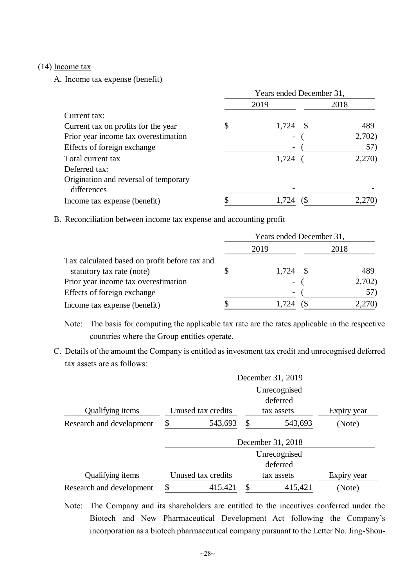#### (14) Income tax

A. Income tax expense (benefit)

|                                       | Years ended December 31, |            |        |  |  |
|---------------------------------------|--------------------------|------------|--------|--|--|
|                                       |                          | 2019       | 2018   |  |  |
| Current tax:                          |                          |            |        |  |  |
| Current tax on profits for the year   | \$                       | $1,724$ \$ | 489    |  |  |
| Prior year income tax overestimation  |                          | $\sim$     | 2,702) |  |  |
| Effects of foreign exchange           |                          |            | 57)    |  |  |
| Total current tax                     |                          | 1,724      | 2,270) |  |  |
| Deferred tax:                         |                          |            |        |  |  |
| Origination and reversal of temporary |                          |            |        |  |  |
| differences                           |                          |            |        |  |  |
| Income tax expense (benefit)          |                          | 1,724      |        |  |  |

B. Reconciliation between income tax expense and accounting profit

|                                               | Years ended December 31, |                |  |        |  |  |
|-----------------------------------------------|--------------------------|----------------|--|--------|--|--|
|                                               | 2019                     |                |  | 2018   |  |  |
| Tax calculated based on profit before tax and |                          |                |  |        |  |  |
| statutory tax rate (note)                     |                          | $1,724$ \$     |  | 489    |  |  |
| Prior year income tax overestimation          |                          | $\sim$ $ \sim$ |  | 2,702) |  |  |
| Effects of foreign exchange                   |                          |                |  |        |  |  |
| Income tax expense (benefit)                  |                          | .724           |  |        |  |  |

Note: The basis for computing the applicable tax rate are the rates applicable in the respective countries where the Group entities operate.

C. Details of the amount the Company is entitled as investment tax credit and unrecognised deferred tax assets are as follows:

|                          | December 31, 2019                               |                    |    |                          |             |  |  |
|--------------------------|-------------------------------------------------|--------------------|----|--------------------------|-------------|--|--|
|                          | Unrecognised<br>deferred                        |                    |    |                          |             |  |  |
| Qualifying items         | Unused tax credits<br>Expiry year<br>tax assets |                    |    |                          |             |  |  |
| Research and development | \$                                              | 543,693            | \$ | 543,693                  | (Note)      |  |  |
|                          | December 31, 2018                               |                    |    |                          |             |  |  |
|                          |                                                 |                    |    | Unrecognised<br>deferred |             |  |  |
| Qualifying items         |                                                 | Unused tax credits |    | tax assets               | Expiry year |  |  |
| Research and development | \$                                              | 415,421            | \$ | 415,421                  | (Note)      |  |  |

Note: The Company and its shareholders are entitled to the incentives conferred under the Biotech and New Pharmaceutical Development Act following the Company's incorporation as a biotech pharmaceutical company pursuant to the Letter No. Jing-Shou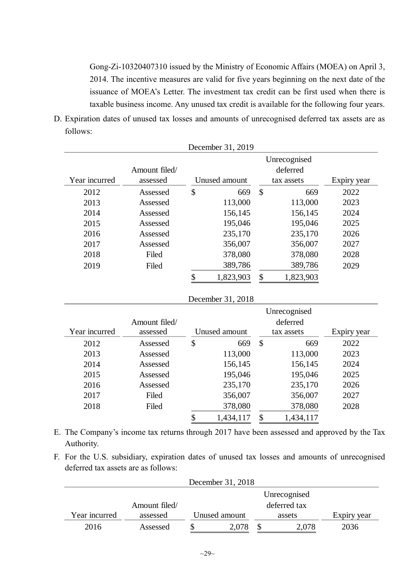Gong-Zi-10320407310 issued by the Ministry of Economic Affairs (MOEA) on April 3, 2014. The incentive measures are valid for five years beginning on the next date of the issuance of MOEA's Letter. The investment tax credit can be first used when there is taxable business income. Any unused tax credit is available for the following four years.

D. Expiration dates of unused tax losses and amounts of unrecognised deferred tax assets are as follows:

| December 31, 2019 |               |              |                   |               |              |             |
|-------------------|---------------|--------------|-------------------|---------------|--------------|-------------|
|                   |               | Unrecognised |                   |               |              |             |
|                   | Amount filed/ |              |                   |               | deferred     |             |
| Year incurred     | assessed      |              | Unused amount     |               | tax assets   | Expiry year |
| 2012              | Assessed      | \$           | 669               | $\mathcal{S}$ | 669          | 2022        |
| 2013              | Assessed      |              | 113,000           |               | 113,000      | 2023        |
| 2014              | Assessed      |              | 156,145           |               | 156,145      | 2024        |
| 2015              | Assessed      |              | 195,046           |               | 195,046      | 2025        |
| 2016              | Assessed      |              | 235,170           |               | 235,170      | 2026        |
| 2017              | Assessed      |              | 356,007           |               | 356,007      | 2027        |
| 2018              | Filed         |              | 378,080           |               | 378,080      | 2028        |
| 2019              | Filed         |              | 389,786           |               | 389,786      | 2029        |
|                   |               | \$           | 1,823,903         | \$            | 1,823,903    |             |
|                   |               |              | December 31, 2018 |               |              |             |
|                   |               |              |                   |               | Unrecognised |             |
|                   | Amount filed/ |              |                   |               | deferred     |             |
| Year incurred     | assessed      |              | Unused amount     |               | tax assets   | Expiry year |
| 2012              | Assessed      | \$           | 669               | $\mathcal{S}$ | 669          | 2022        |
| 2013              | Assessed      |              | 113,000           |               | 113,000      | 2023        |
| 2014              | Assessed      |              | 156,145           |               | 156,145      | 2024        |
| 2015              | Assessed      |              | 195,046           |               | 195,046      | 2025        |
| 2016              | Assessed      |              | 235,170           |               | 235,170      | 2026        |
| 2017              | Filed         |              | 356,007           |               | 356,007      | 2027        |
| 2018              | Filed         |              | 378,080           |               | 378,080      | 2028        |
|                   |               | \$           | 1,434,117         | \$            | 1,434,117    |             |

- E. The Company's income tax returns through 2017 have been assessed and approved by the Tax Authority.
- F. For the U.S. subsidiary, expiration dates of unused tax losses and amounts of unrecognised deferred tax assets are as follows:

|               |               | December 31, 2018 |              |             |
|---------------|---------------|-------------------|--------------|-------------|
|               |               |                   | Unrecognised |             |
|               | Amount filed/ |                   | deferred tax |             |
| Year incurred | assessed      | Unused amount     | assets       | Expiry year |
| 2016          | Assessed      | 2,078             | \$<br>2,078  | 2036        |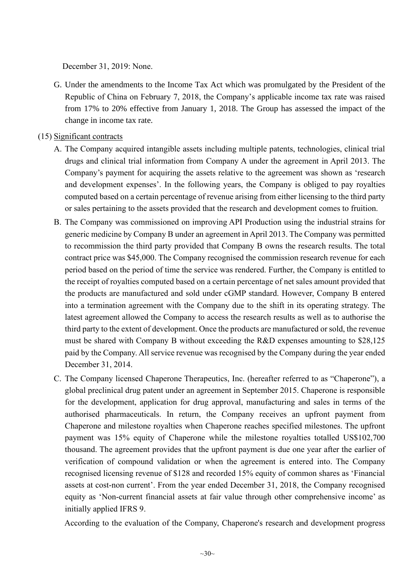December 31, 2019: None.

G. Under the amendments to the Income Tax Act which was promulgated by the President of the Republic of China on February 7, 2018, the Company's applicable income tax rate was raised from 17% to 20% effective from January 1, 2018. The Group has assessed the impact of the change in income tax rate.

(15) Significant contracts

- A. The Company acquired intangible assets including multiple patents, technologies, clinical trial drugs and clinical trial information from Company A under the agreement in April 2013. The Company's payment for acquiring the assets relative to the agreement was shown as 'research and development expenses'. In the following years, the Company is obliged to pay royalties computed based on a certain percentage of revenue arising from either licensing to the third party or sales pertaining to the assets provided that the research and development comes to fruition.
- B. The Company was commissioned on improving API Production using the industrial strains for generic medicine by Company B under an agreement in April 2013. The Company was permitted to recommission the third party provided that Company B owns the research results. The total contract price was \$45,000. The Company recognised the commission research revenue for each period based on the period of time the service was rendered. Further, the Company is entitled to the receipt of royalties computed based on a certain percentage of net sales amount provided that the products are manufactured and sold under cGMP standard. However, Company B entered into a termination agreement with the Company due to the shift in its operating strategy. The latest agreement allowed the Company to access the research results as well as to authorise the third party to the extent of development. Once the products are manufactured or sold, the revenue must be shared with Company B without exceeding the R&D expenses amounting to \$28,125 paid by the Company. All service revenue was recognised by the Company during the year ended December 31, 2014.
- C. The Company licensed Chaperone Therapeutics, Inc. (hereafter referred to as "Chaperone"), a global preclinical drug patent under an agreement in September 2015. Chaperone is responsible for the development, application for drug approval, manufacturing and sales in terms of the authorised pharmaceuticals. In return, the Company receives an upfront payment from Chaperone and milestone royalties when Chaperone reaches specified milestones. The upfront payment was 15% equity of Chaperone while the milestone royalties totalled US\$102,700 thousand. The agreement provides that the upfront payment is due one year after the earlier of verification of compound validation or when the agreement is entered into. The Company recognised licensing revenue of \$128 and recorded 15% equity of common shares as 'Financial assets at cost-non current'. From the year ended December 31, 2018, the Company recognised equity as 'Non-current financial assets at fair value through other comprehensive income' as initially applied IFRS 9.

According to the evaluation of the Company, Chaperone's research and development progress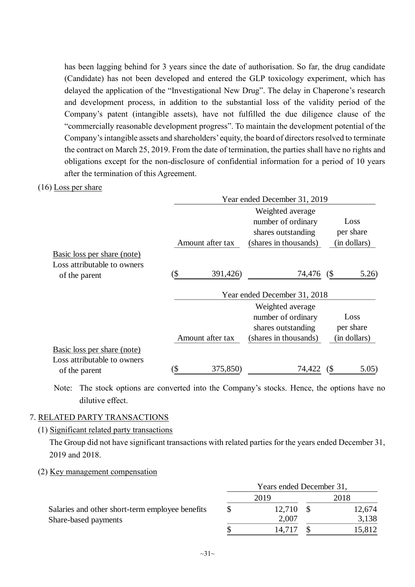has been lagging behind for 3 years since the date of authorisation. So far, the drug candidate (Candidate) has not been developed and entered the GLP toxicology experiment, which has delayed the application of the "Investigational New Drug". The delay in Chaperone's research and development process, in addition to the substantial loss of the validity period of the Company's patent (intangible assets), have not fulfilled the due diligence clause of the "commercially reasonable development progress". To maintain the development potential of the Company's intangible assets and shareholders' equity, the board of directors resolved to terminate the contract on March 25, 2019. From the date of termination, the parties shall have no rights and obligations except for the non-disclosure of confidential information for a period of 10 years after the termination of this Agreement.

#### (16) Loss per share

|                                                                             |     |                  | Year ended December 31, 2019                                                          |                                   |
|-----------------------------------------------------------------------------|-----|------------------|---------------------------------------------------------------------------------------|-----------------------------------|
|                                                                             |     | Amount after tax | Weighted average<br>number of ordinary<br>shares outstanding<br>(shares in thousands) | Loss<br>per share<br>(in dollars) |
| Basic loss per share (note)<br>Loss attributable to owners<br>of the parent | (\$ | 391,426)         | 74,476                                                                                | $($ \$<br>5.26                    |
|                                                                             |     |                  | Year ended December 31, 2018                                                          |                                   |
|                                                                             |     | Amount after tax | Weighted average<br>number of ordinary<br>shares outstanding<br>(shares in thousands) | Loss<br>per share<br>(in dollars) |
| Basic loss per share (note)                                                 |     |                  |                                                                                       |                                   |
| Loss attributable to owners                                                 |     |                  |                                                                                       |                                   |
| of the parent                                                               | (\$ | 375,850)         | 74,422                                                                                | 5.05)<br>(\$                      |

Note: The stock options are converted into the Company's stocks. Hence, the options have no dilutive effect.

#### 7. RELATED PARTY TRANSACTIONS

(1) Significant related party transactions

The Group did not have significant transactions with related parties for the years ended December 31, 2019 and 2018.

(2) Key management compensation

|                                                                         | Years ended December 31, |                 |  |                 |  |
|-------------------------------------------------------------------------|--------------------------|-----------------|--|-----------------|--|
|                                                                         |                          | 2019            |  | 2018            |  |
| Salaries and other short-term employee benefits<br>Share-based payments |                          | 12,710<br>2,007 |  | 12,674<br>3,138 |  |
|                                                                         |                          | 14.717          |  | 15,812          |  |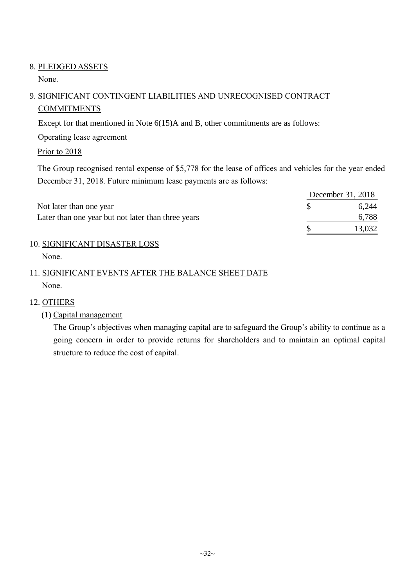## 8. PLEDGED ASSETS

None.

## 9. SIGNIFICANT CONTINGENT LIABILITIES AND UNRECOGNISED CONTRACT **COMMITMENTS**

Except for that mentioned in Note 6(15)A and B, other commitments are as follows:

Operating lease agreement

### Prior to 2018

The Group recognised rental expense of \$5,778 for the lease of offices and vehicles for the year ended December 31, 2018. Future minimum lease payments are as follows:

|                                                    | December 31, 2018 |
|----------------------------------------------------|-------------------|
| Not later than one year                            | 6,244             |
| Later than one year but not later than three years | 6,788             |
|                                                    | 13,032            |

10. SIGNIFICANT DISASTER LOSS None.

## 11. SIGNIFICANT EVENTS AFTER THE BALANCE SHEET DATE None.

### 12. OTHERS

(1) Capital management

The Group's objectives when managing capital are to safeguard the Group's ability to continue as a going concern in order to provide returns for shareholders and to maintain an optimal capital structure to reduce the cost of capital.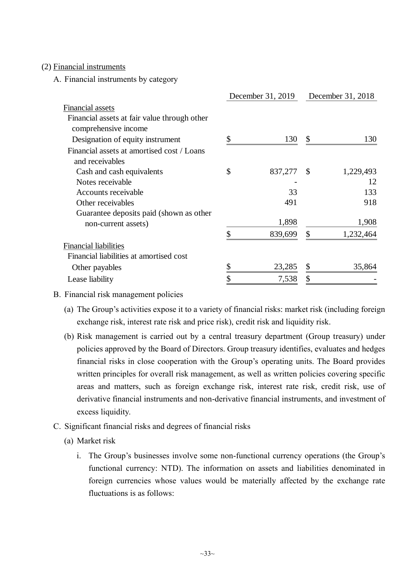(2) Financial instruments

A. Financial instruments by category

|                                              | December 31, 2019 |         | December 31, 2018 |           |
|----------------------------------------------|-------------------|---------|-------------------|-----------|
| Financial assets                             |                   |         |                   |           |
| Financial assets at fair value through other |                   |         |                   |           |
| comprehensive income                         |                   |         |                   |           |
| Designation of equity instrument             |                   | 130     | \$                | 130       |
| Financial assets at amortised cost / Loans   |                   |         |                   |           |
| and receivables                              |                   |         |                   |           |
| Cash and cash equivalents                    | \$                | 837,277 | $\mathcal{S}$     | 1,229,493 |
| Notes receivable                             |                   |         |                   | 12        |
| Accounts receivable                          |                   | 33      |                   | 133       |
| Other receivables                            |                   | 491     |                   | 918       |
| Guarantee deposits paid (shown as other      |                   |         |                   |           |
| non-current assets)                          |                   | 1,898   |                   | 1,908     |
|                                              |                   | 839,699 | \$                | 1,232,464 |
| <b>Financial liabilities</b>                 |                   |         |                   |           |
| Financial liabilities at amortised cost      |                   |         |                   |           |
| Other payables                               |                   | 23,285  | \$                | 35,864    |
| Lease liability                              |                   | 7,538   |                   |           |
|                                              |                   |         |                   |           |

- B. Financial risk management policies
	- (a) The Group's activities expose it to a variety of financial risks: market risk (including foreign exchange risk, interest rate risk and price risk), credit risk and liquidity risk.
	- (b) Risk management is carried out by a central treasury department (Group treasury) under policies approved by the Board of Directors. Group treasury identifies, evaluates and hedges financial risks in close cooperation with the Group's operating units. The Board provides written principles for overall risk management, as well as written policies covering specific areas and matters, such as foreign exchange risk, interest rate risk, credit risk, use of derivative financial instruments and non-derivative financial instruments, and investment of excess liquidity.
- C. Significant financial risks and degrees of financial risks
	- (a) Market risk
		- i. The Group's businesses involve some non-functional currency operations (the Group's functional currency: NTD). The information on assets and liabilities denominated in foreign currencies whose values would be materially affected by the exchange rate fluctuations is as follows: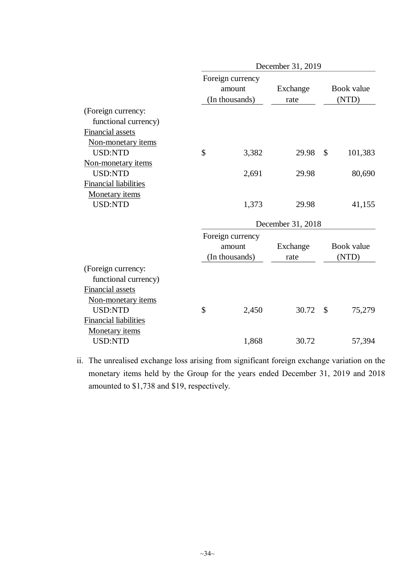|                                                                       |                   | December 31, 2019                            |                  |                     |                     |  |  |
|-----------------------------------------------------------------------|-------------------|----------------------------------------------|------------------|---------------------|---------------------|--|--|
|                                                                       |                   | Foreign currency<br>amount<br>(In thousands) |                  | Book value<br>(NTD) |                     |  |  |
| (Foreign currency:<br>functional currency)<br><b>Financial assets</b> |                   |                                              |                  |                     |                     |  |  |
| Non-monetary items                                                    |                   |                                              |                  |                     |                     |  |  |
| <b>USD:NTD</b><br>Non-monetary items                                  | \$                | 3,382                                        | 29.98            | \$                  | 101,383             |  |  |
| <b>USD:NTD</b>                                                        |                   | 2,691                                        | 29.98            |                     | 80,690              |  |  |
| <b>Financial liabilities</b><br>Monetary items<br><b>USD:NTD</b>      |                   | 1,373                                        | 29.98            |                     | 41,155              |  |  |
|                                                                       | December 31, 2018 |                                              |                  |                     |                     |  |  |
|                                                                       |                   | Foreign currency                             |                  |                     |                     |  |  |
|                                                                       |                   | amount                                       | Exchange<br>rate |                     | Book value<br>(NTD) |  |  |
| (Foreign currency:<br>functional currency)<br><b>Financial assets</b> |                   | (In thousands)                               |                  |                     |                     |  |  |
| Non-monetary items                                                    |                   |                                              |                  |                     |                     |  |  |
| <b>USD:NTD</b>                                                        | \$                | 2,450                                        | 30.72            | $\mathcal{S}$       | 75,279              |  |  |
| <b>Financial liabilities</b>                                          |                   |                                              |                  |                     |                     |  |  |
| <b>Monetary</b> items                                                 |                   |                                              |                  |                     |                     |  |  |
| <b>USD:NTD</b>                                                        |                   | 1,868                                        | 30.72            |                     | 57,394              |  |  |

ii. The unrealised exchange loss arising from significant foreign exchange variation on the monetary items held by the Group for the years ended December 31, 2019 and 2018 amounted to \$1,738 and \$19, respectively.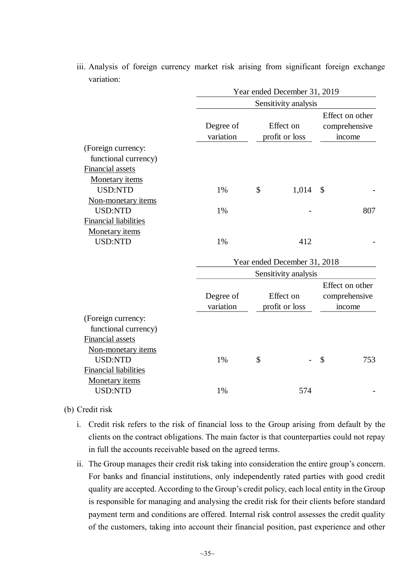|                                                                  |                        | Year ended December 31, 2019 |    |                                            |  |  |  |
|------------------------------------------------------------------|------------------------|------------------------------|----|--------------------------------------------|--|--|--|
|                                                                  |                        | Sensitivity analysis         |    |                                            |  |  |  |
|                                                                  | Degree of<br>variation | Effect on<br>profit or loss  |    | Effect on other<br>comprehensive<br>income |  |  |  |
| (Foreign currency:<br>functional currency)                       |                        |                              |    |                                            |  |  |  |
| Financial assets                                                 |                        |                              |    |                                            |  |  |  |
| <b>Monetary</b> items<br><b>USD:NTD</b>                          | 1%                     | \$<br>1,014                  | \$ |                                            |  |  |  |
| Non-monetary items<br><b>USD:NTD</b>                             | 1%                     |                              |    | 807                                        |  |  |  |
| <b>Financial liabilities</b><br>Monetary items<br><b>USD:NTD</b> | 1%                     | 412                          |    |                                            |  |  |  |
|                                                                  |                        | Year ended December 31, 2018 |    |                                            |  |  |  |
|                                                                  |                        | Sensitivity analysis         |    |                                            |  |  |  |
|                                                                  | Degree of<br>variation | Effect on<br>profit or loss  |    | Effect on other<br>comprehensive<br>income |  |  |  |
| (Foreign currency:<br>functional currency)                       |                        |                              |    |                                            |  |  |  |
| Financial assets                                                 |                        |                              |    |                                            |  |  |  |
| Non-monetary items<br><b>USD:NTD</b>                             | 1%                     | \$                           | \$ | 753                                        |  |  |  |
| <b>Financial liabilities</b>                                     |                        |                              |    |                                            |  |  |  |
| Monetary items                                                   |                        |                              |    |                                            |  |  |  |
| <b>USD:NTD</b>                                                   | 1%                     | 574                          |    |                                            |  |  |  |

iii. Analysis of foreign currency market risk arising from significant foreign exchange variation:

#### (b) Credit risk

- i. Credit risk refers to the risk of financial loss to the Group arising from default by the clients on the contract obligations. The main factor is that counterparties could not repay in full the accounts receivable based on the agreed terms.
- ii. The Group manages their credit risk taking into consideration the entire group's concern. For banks and financial institutions, only independently rated parties with good credit quality are accepted. According to the Group's credit policy, each local entity in the Group is responsible for managing and analysing the credit risk for their clients before standard payment term and conditions are offered. Internal risk control assesses the credit quality of the customers, taking into account their financial position, past experience and other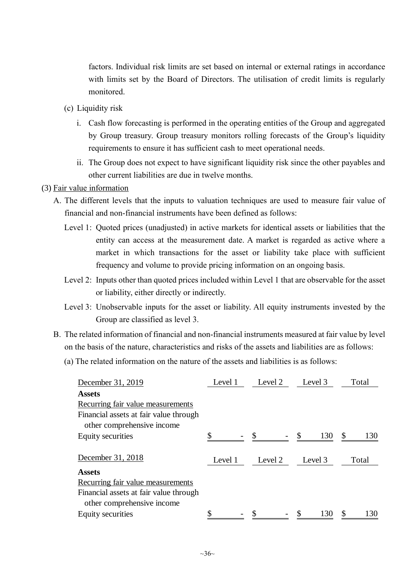factors. Individual risk limits are set based on internal or external ratings in accordance with limits set by the Board of Directors. The utilisation of credit limits is regularly monitored.

- (c) Liquidity risk
	- i. Cash flow forecasting is performed in the operating entities of the Group and aggregated by Group treasury. Group treasury monitors rolling forecasts of the Group's liquidity requirements to ensure it has sufficient cash to meet operational needs.
	- ii. The Group does not expect to have significant liquidity risk since the other payables and other current liabilities are due in twelve months.
- (3) Fair value information
	- A. The different levels that the inputs to valuation techniques are used to measure fair value of financial and non-financial instruments have been defined as follows:
		- Level 1: Quoted prices (unadjusted) in active markets for identical assets or liabilities that the entity can access at the measurement date. A market is regarded as active where a market in which transactions for the asset or liability take place with sufficient frequency and volume to provide pricing information on an ongoing basis.
		- Level 2: Inputs other than quoted prices included within Level 1 that are observable for the asset or liability, either directly or indirectly.
		- Level 3: Unobservable inputs for the asset or liability. All equity instruments invested by the Group are classified as level 3.
	- B. The related information of financial and non-financial instruments measured at fair value by level on the basis of the nature, characteristics and risks of the assets and liabilities are as follows:
		- (a) The related information on the nature of the assets and liabilities is as follows:

| December 31, 2019                      | Level 1 | Level 2 | Level 3   | Total    |
|----------------------------------------|---------|---------|-----------|----------|
| <b>Assets</b>                          |         |         |           |          |
| Recurring fair value measurements      |         |         |           |          |
| Financial assets at fair value through |         |         |           |          |
| other comprehensive income             |         |         |           |          |
| Equity securities                      | S       | \$      | \$<br>130 | S<br>130 |
| December 31, 2018                      | Level 1 | Level 2 | Level 3   | Total    |
| <b>Assets</b>                          |         |         |           |          |
| Recurring fair value measurements      |         |         |           |          |
| Financial assets at fair value through |         |         |           |          |
| other comprehensive income             |         |         |           |          |
| <b>Equity securities</b>               | ¢       |         | 130       | 130      |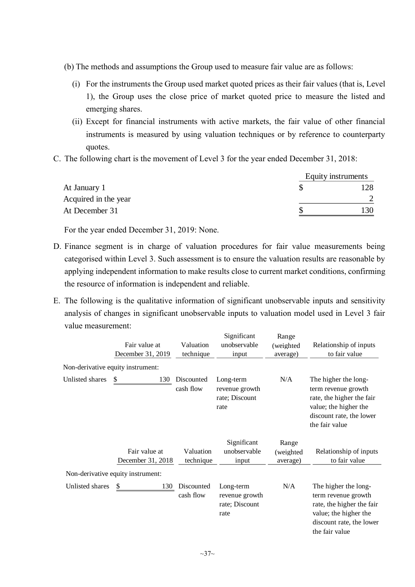- (b) The methods and assumptions the Group used to measure fair value are as follows:
	- (i) For the instruments the Group used market quoted prices as their fair values (that is, Level 1), the Group uses the close price of market quoted price to measure the listed and emerging shares.
	- (ii) Except for financial instruments with active markets, the fair value of other financial instruments is measured by using valuation techniques or by reference to counterparty quotes.
- C. The following chart is the movement of Level 3 for the year ended December 31, 2018:

|                      | Equity instruments |  |  |
|----------------------|--------------------|--|--|
| At January 1         | 128                |  |  |
| Acquired in the year |                    |  |  |
| At December 31       | l 30               |  |  |
|                      |                    |  |  |

For the year ended December 31, 2019: None.

- D. Finance segment is in charge of valuation procedures for fair value measurements being categorised within Level 3. Such assessment is to ensure the valuation results are reasonable by applying independent information to make results close to current market conditions, confirming the resource of information is independent and reliable.
- E. The following is the qualitative information of significant unobservable inputs and sensitivity analysis of changes in significant unobservable inputs to valuation model used in Level 3 fair value measurement:

| Non-derivative equity instrument: | Fair value at<br>December 31, 2019 | Valuation<br>technique  | Significant<br>unobservable<br>input                  | Range<br>(weighted<br>average)  | Relationship of inputs<br>to fair value                                                                                                         |
|-----------------------------------|------------------------------------|-------------------------|-------------------------------------------------------|---------------------------------|-------------------------------------------------------------------------------------------------------------------------------------------------|
| Unlisted shares                   | 130<br>\$                          | Discounted<br>cash flow | Long-term<br>revenue growth<br>rate; Discount<br>rate | N/A                             | The higher the long-<br>term revenue growth<br>rate, the higher the fair<br>value; the higher the<br>discount rate, the lower<br>the fair value |
|                                   | Fair value at<br>December 31, 2018 | Valuation<br>technique  | Significant<br>unobservable<br>input                  | Range<br>(weighted)<br>average) | Relationship of inputs<br>to fair value                                                                                                         |
|                                   | Non-derivative equity instrument:  |                         |                                                       |                                 |                                                                                                                                                 |
| Unlisted shares                   | 130<br>\$                          | Discounted<br>cash flow | Long-term<br>revenue growth<br>rate; Discount<br>rate | N/A                             | The higher the long-<br>term revenue growth<br>rate, the higher the fair<br>value; the higher the<br>discount rate, the lower<br>the fair value |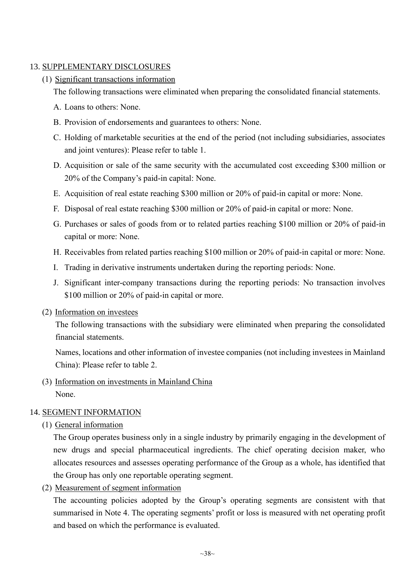### 13. SUPPLEMENTARY DISCLOSURES

(1) Significant transactions information

The following transactions were eliminated when preparing the consolidated financial statements.

- A. Loans to others: None.
- B. Provision of endorsements and guarantees to others: None.
- C. Holding of marketable securities at the end of the period (not including subsidiaries, associates and joint ventures): Please refer to table 1.
- D. Acquisition or sale of the same security with the accumulated cost exceeding \$300 million or 20% of the Company's paid-in capital: None.
- E. Acquisition of real estate reaching \$300 million or 20% of paid-in capital or more: None.
- F. Disposal of real estate reaching \$300 million or 20% of paid-in capital or more: None.
- G. Purchases or sales of goods from or to related parties reaching \$100 million or 20% of paid-in capital or more: None.
- H. Receivables from related parties reaching \$100 million or 20% of paid-in capital or more: None.
- I. Trading in derivative instruments undertaken during the reporting periods: None.
- J. Significant inter-company transactions during the reporting periods: No transaction involves \$100 million or 20% of paid-in capital or more.
- (2) Information on investees

The following transactions with the subsidiary were eliminated when preparing the consolidated financial statements.

Names, locations and other information of investee companies (not including investees in Mainland China): Please refer to table 2.

(3) Information on investments in Mainland China None.

### 14. SEGMENT INFORMATION

(1) General information

The Group operates business only in a single industry by primarily engaging in the development of new drugs and special pharmaceutical ingredients. The chief operating decision maker, who allocates resources and assesses operating performance of the Group as a whole, has identified that the Group has only one reportable operating segment.

(2) Measurement of segment information

The accounting policies adopted by the Group's operating segments are consistent with that summarised in Note 4. The operating segments' profit or loss is measured with net operating profit and based on which the performance is evaluated.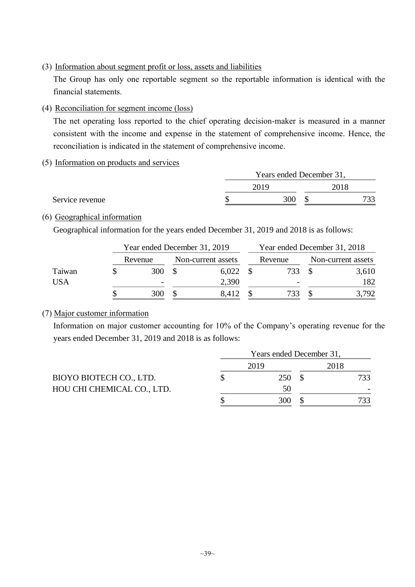### (3) Information about segment profit or loss, assets and liabilities

The Group has only one reportable segment so the reportable information is identical with the financial statements.

#### (4) Reconciliation for segment income (loss)

The net operating loss reported to the chief operating decision-maker is measured in a manner consistent with the income and expense in the statement of comprehensive income. Hence, the reconciliation is indicated in the statement of comprehensive income.

#### (5) Information on products and services

|                 | Years ended December 31, |      |  |  |  |  |  |
|-----------------|--------------------------|------|--|--|--|--|--|
|                 | 2019                     | 2018 |  |  |  |  |  |
| Service revenue | 30C                      |      |  |  |  |  |  |

### (6) Geographical information

Geographical information for the years ended December 31, 2019 and 2018 is as follows:

|            | Year ended December 31, 2019 |                    |       |  | Year ended December 31, 2018 |                    |       |  |  |  |
|------------|------------------------------|--------------------|-------|--|------------------------------|--------------------|-------|--|--|--|
|            | Revenue                      | Non-current assets |       |  | Revenue                      | Non-current assets |       |  |  |  |
| Taiwan     | 300                          |                    | 6,022 |  | 733                          |                    | 3,610 |  |  |  |
| <b>USA</b> |                              |                    | 2,390 |  |                              |                    | 182   |  |  |  |
|            | 300                          |                    | 8.412 |  | 733                          |                    | 3,792 |  |  |  |

### (7) Major customer information

Information on major customer accounting for 10% of the Company's operating revenue for the years ended December 31, 2019 and 2018 is as follows:

|                            |  | Years ended December 31, |  |      |      |  |
|----------------------------|--|--------------------------|--|------|------|--|
|                            |  | 2019                     |  | 2018 |      |  |
| BIOYO BIOTECH CO., LTD.    |  | 250                      |  |      | 733. |  |
| HOU CHI CHEMICAL CO., LTD. |  | 50                       |  |      |      |  |
|                            |  | 300                      |  |      |      |  |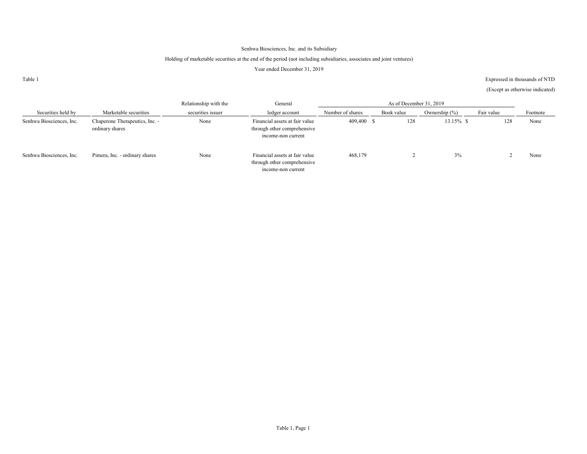#### Senhwa Biosciences, Inc. and its Subsidiary

#### Holding of marketable securities at the end of the period (not including subsidiaries, associates and joint ventures)

#### Year ended December 31, 2019

Table 1

Expressed in thousands of NTD

(Except as otherwise indicated)

|                          |                                                   | Relationship with the | General                                                                             |                  |            |                   |            |          |
|--------------------------|---------------------------------------------------|-----------------------|-------------------------------------------------------------------------------------|------------------|------------|-------------------|------------|----------|
| Securities held by       | Marketable securities                             | securities issuer     | ledger account                                                                      | Number of shares | Book value | Ownership $(\% )$ | Fair value | Footnote |
| Senhwa Biosciences, Inc. | Chaperone Therapeutics, Inc. -<br>ordinary shares | None                  | Financial assets at fair value<br>through other comprehensive<br>income-non current | 409,400 \$       | 128        | 13.15% \$         | 128        | None     |
| Senhwa Biosciences, Inc. | Pimera, Inc. - ordinary shares                    | None                  | Financial assets at fair value<br>through other comprehensive<br>income-non current | 468,179          |            | 3%                |            | None     |